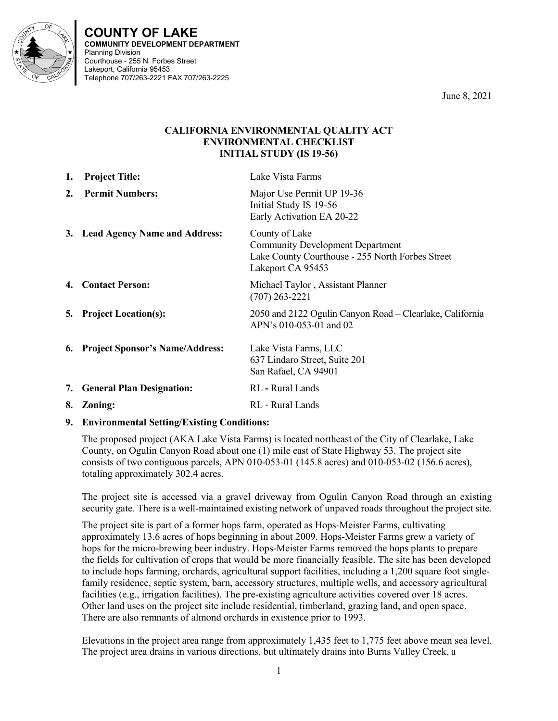

**COUNTY OF LAKE COMMUNITY DEVELOPMENT DEPARTMENT** Planning Division Courthouse - 255 N. Forbes Street Lakeport, California 95453 Telephone 707/263-2221 FAX 707/263-2225

June 8, 2021

## **CALIFORNIA ENVIRONMENTAL QUALITY ACT ENVIRONMENTAL CHECKLIST INITIAL STUDY (IS 19-56)**

| 1. | <b>Project Title:</b>                  | Lake Vista Farms                                                                                                                   |
|----|----------------------------------------|------------------------------------------------------------------------------------------------------------------------------------|
| 2. | <b>Permit Numbers:</b>                 | Major Use Permit UP 19-36<br>Initial Study IS 19-56<br>Early Activation EA 20-22                                                   |
|    | 3. Lead Agency Name and Address:       | County of Lake<br><b>Community Development Department</b><br>Lake County Courthouse - 255 North Forbes Street<br>Lakeport CA 95453 |
|    | 4. Contact Person:                     | Michael Taylor, Assistant Planner<br>$(707)$ 263-2221                                                                              |
|    | <b>5.</b> Project Location(s):         | 2050 and 2122 Ogulin Canyon Road – Clearlake, California<br>APN's 010-053-01 and 02                                                |
| 6. | <b>Project Sponsor's Name/Address:</b> | Lake Vista Farms, LLC<br>637 Lindaro Street, Suite 201<br>San Rafael, CA 94901                                                     |
|    | 7. General Plan Designation:           | RL - Rural Lands                                                                                                                   |
|    | 8. Zoning:                             | RL - Rural Lands                                                                                                                   |

### **9. Environmental Setting/Existing Conditions:**

The proposed project (AKA Lake Vista Farms) is located northeast of the City of Clearlake, Lake County, on Ogulin Canyon Road about one (1) mile east of State Highway 53. The project site consists of two contiguous parcels, APN 010-053-01 (145.8 acres) and 010-053-02 (156.6 acres), totaling approximately 302.4 acres.

The project site is accessed via a gravel driveway from Ogulin Canyon Road through an existing security gate. There is a well-maintained existing network of unpaved roads throughout the project site.

The project site is part of a former hops farm, operated as Hops-Meister Farms, cultivating approximately 13.6 acres of hops beginning in about 2009. Hops-Meister Farms grew a variety of hops for the micro-brewing beer industry. Hops-Meister Farms removed the hops plants to prepare the fields for cultivation of crops that would be more financially feasible. The site has been developed to include hops farming, orchards, agricultural support facilities, including a 1,200 square foot singlefamily residence, septic system, barn, accessory structures, multiple wells, and accessory agricultural facilities (e.g., irrigation facilities). The pre-existing agriculture activities covered over 18 acres. Other land uses on the project site include residential, timberland, grazing land, and open space. There are also remnants of almond orchards in existence prior to 1993.

Elevations in the project area range from approximately 1,435 feet to 1,775 feet above mean sea level. The project area drains in various directions, but ultimately drains into Burns Valley Creek, a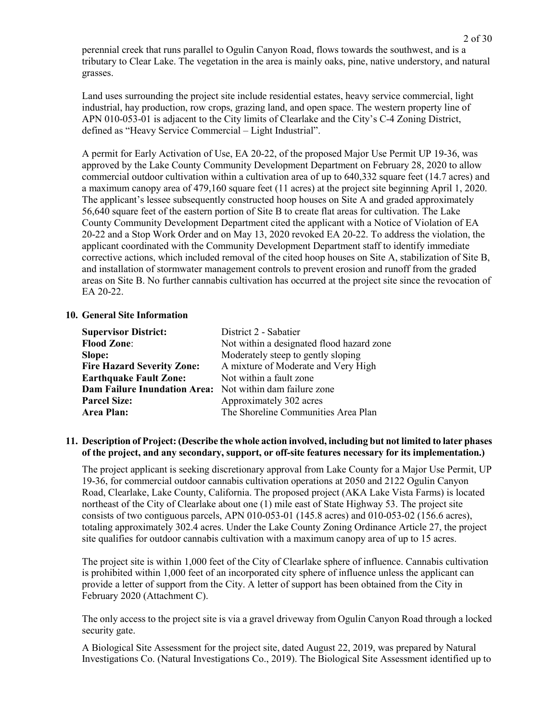perennial creek that runs parallel to Ogulin Canyon Road, flows towards the southwest, and is a tributary to Clear Lake. The vegetation in the area is mainly oaks, pine, native understory, and natural grasses.

Land uses surrounding the project site include residential estates, heavy service commercial, light industrial, hay production, row crops, grazing land, and open space. The western property line of APN 010-053-01 is adjacent to the City limits of Clearlake and the City's C-4 Zoning District, defined as "Heavy Service Commercial – Light Industrial".

A permit for Early Activation of Use, EA 20-22, of the proposed Major Use Permit UP 19-36, was approved by the Lake County Community Development Department on February 28, 2020 to allow commercial outdoor cultivation within a cultivation area of up to 640,332 square feet (14.7 acres) and a maximum canopy area of 479,160 square feet (11 acres) at the project site beginning April 1, 2020. The applicant's lessee subsequently constructed hoop houses on Site A and graded approximately 56,640 square feet of the eastern portion of Site B to create flat areas for cultivation. The Lake County Community Development Department cited the applicant with a Notice of Violation of EA 20-22 and a Stop Work Order and on May 13, 2020 revoked EA 20-22. To address the violation, the applicant coordinated with the Community Development Department staff to identify immediate corrective actions, which included removal of the cited hoop houses on Site A, stabilization of Site B, and installation of stormwater management controls to prevent erosion and runoff from the graded areas on Site B. No further cannabis cultivation has occurred at the project site since the revocation of EA 20-22.

#### **10. General Site Information**

| <b>Supervisor District:</b>                              | District 2 - Sabatier                     |
|----------------------------------------------------------|-------------------------------------------|
| <b>Flood Zone:</b>                                       | Not within a designated flood hazard zone |
| Slope:                                                   | Moderately steep to gently sloping        |
| <b>Fire Hazard Severity Zone:</b>                        | A mixture of Moderate and Very High       |
| <b>Earthquake Fault Zone:</b>                            | Not within a fault zone                   |
| Dam Failure Inundation Area: Not within dam failure zone |                                           |
| <b>Parcel Size:</b>                                      | Approximately 302 acres                   |
| <b>Area Plan:</b>                                        | The Shoreline Communities Area Plan       |

### **11. Description of Project: (Describe the whole action involved, including but not limited to later phases of the project, and any secondary, support, or off-site features necessary for its implementation.)**

The project applicant is seeking discretionary approval from Lake County for a Major Use Permit, UP 19-36, for commercial outdoor cannabis cultivation operations at 2050 and 2122 Ogulin Canyon Road, Clearlake, Lake County, California. The proposed project (AKA Lake Vista Farms) is located northeast of the City of Clearlake about one (1) mile east of State Highway 53. The project site consists of two contiguous parcels, APN 010-053-01 (145.8 acres) and 010-053-02 (156.6 acres), totaling approximately 302.4 acres. Under the Lake County Zoning Ordinance Article 27, the project site qualifies for outdoor cannabis cultivation with a maximum canopy area of up to 15 acres.

The project site is within 1,000 feet of the City of Clearlake sphere of influence. Cannabis cultivation is prohibited within 1,000 feet of an incorporated city sphere of influence unless the applicant can provide a letter of support from the City. A letter of support has been obtained from the City in February 2020 (Attachment C).

The only access to the project site is via a gravel driveway from Ogulin Canyon Road through a locked security gate.

A Biological Site Assessment for the project site, dated August 22, 2019, was prepared by Natural Investigations Co. (Natural Investigations Co., 2019). The Biological Site Assessment identified up to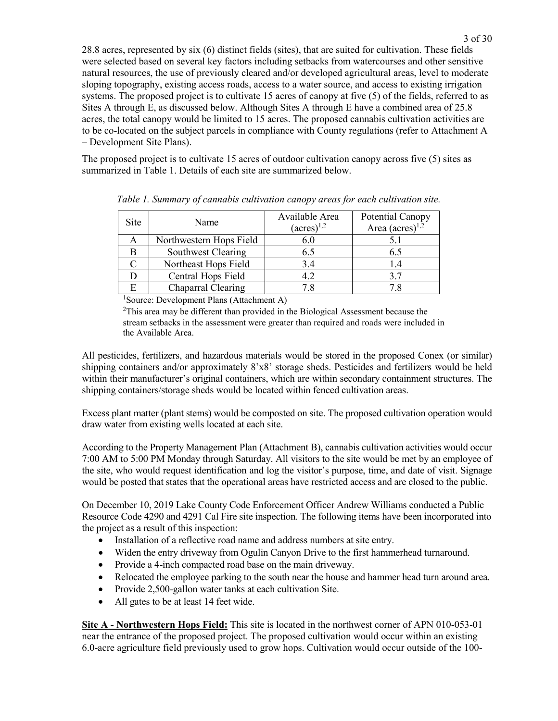28.8 acres, represented by six (6) distinct fields (sites), that are suited for cultivation. These fields were selected based on several key factors including setbacks from watercourses and other sensitive natural resources, the use of previously cleared and/or developed agricultural areas, level to moderate sloping topography, existing access roads, access to a water source, and access to existing irrigation systems. The proposed project is to cultivate 15 acres of canopy at five (5) of the fields, referred to as Sites A through E, as discussed below. Although Sites A through E have a combined area of 25.8 acres, the total canopy would be limited to 15 acres. The proposed cannabis cultivation activities are to be co-located on the subject parcels in compliance with County regulations (refer to Attachment A – Development Site Plans).

<span id="page-2-0"></span>The proposed project is to cultivate 15 acres of outdoor cultivation canopy across five (5) sites as summarized in [Table 1.](#page-2-0) Details of each site are summarized below.

| Site | Name                    | Available Area<br>$(\text{acres})^{1,2}$ | Potential Canopy<br>Area $(\text{acres})^{1,2}$ |
|------|-------------------------|------------------------------------------|-------------------------------------------------|
| А    | Northwestern Hops Field | 6.0                                      |                                                 |
|      | Southwest Clearing      | 6.5                                      | 6.5                                             |
|      | Northeast Hops Field    | 3.4                                      | 1.4                                             |
|      | Central Hops Field      | 4.2                                      | 3.7                                             |
| Е    | Chaparral Clearing      | 7.8                                      | 7 R                                             |

*Table 1. Summary of cannabis cultivation canopy areas for each cultivation site.*

1 Source: Development Plans (Attachment A)

 $2$ This area may be different than provided in the Biological Assessment because the stream setbacks in the assessment were greater than required and roads were included in the Available Area.

All pesticides, fertilizers, and hazardous materials would be stored in the proposed Conex (or similar) shipping containers and/or approximately 8'x8' storage sheds. Pesticides and fertilizers would be held within their manufacturer's original containers, which are within secondary containment structures. The shipping containers/storage sheds would be located within fenced cultivation areas.

Excess plant matter (plant stems) would be composted on site. The proposed cultivation operation would draw water from existing wells located at each site.

According to the Property Management Plan (Attachment B), cannabis cultivation activities would occur 7:00 AM to 5:00 PM Monday through Saturday. All visitors to the site would be met by an employee of the site, who would request identification and log the visitor's purpose, time, and date of visit. Signage would be posted that states that the operational areas have restricted access and are closed to the public.

On December 10, 2019 Lake County Code Enforcement Officer Andrew Williams conducted a Public Resource Code 4290 and 4291 Cal Fire site inspection. The following items have been incorporated into the project as a result of this inspection:

- Installation of a reflective road name and address numbers at site entry.
- Widen the entry driveway from Ogulin Canyon Drive to the first hammerhead turnaround.
- Provide a 4-inch compacted road base on the main driveway.
- Relocated the employee parking to the south near the house and hammer head turn around area.
- Provide 2,500-gallon water tanks at each cultivation Site.
- All gates to be at least 14 feet wide.

**Site A - Northwestern Hops Field:** This site is located in the northwest corner of APN 010-053-01 near the entrance of the proposed project. The proposed cultivation would occur within an existing 6.0-acre agriculture field previously used to grow hops. Cultivation would occur outside of the 100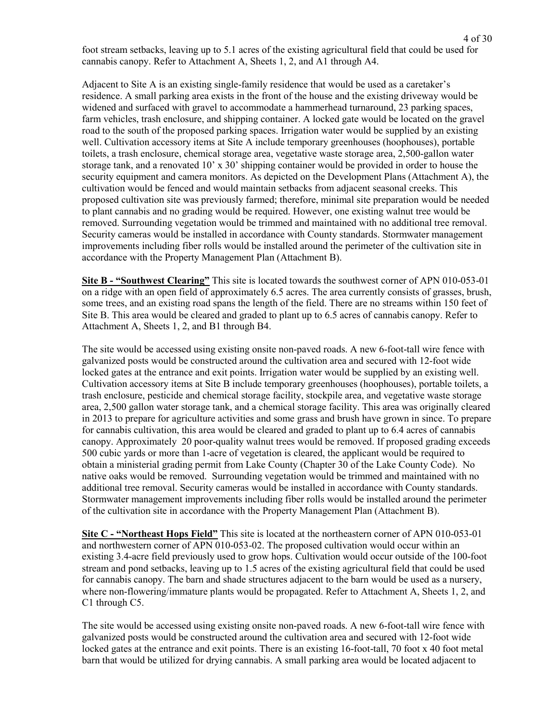foot stream setbacks, leaving up to 5.1 acres of the existing agricultural field that could be used for cannabis canopy. Refer to Attachment A, Sheets 1, 2, and A1 through A4.

Adjacent to Site A is an existing single-family residence that would be used as a caretaker's residence. A small parking area exists in the front of the house and the existing driveway would be widened and surfaced with gravel to accommodate a hammerhead turnaround, 23 parking spaces, farm vehicles, trash enclosure, and shipping container. A locked gate would be located on the gravel road to the south of the proposed parking spaces. Irrigation water would be supplied by an existing well. Cultivation accessory items at Site A include temporary greenhouses (hoophouses), portable toilets, a trash enclosure, chemical storage area, vegetative waste storage area, 2,500-gallon water storage tank, and a renovated 10' x 30' shipping container would be provided in order to house the security equipment and camera monitors. As depicted on the Development Plans (Attachment A), the cultivation would be fenced and would maintain setbacks from adjacent seasonal creeks. This proposed cultivation site was previously farmed; therefore, minimal site preparation would be needed to plant cannabis and no grading would be required. However, one existing walnut tree would be removed. Surrounding vegetation would be trimmed and maintained with no additional tree removal. Security cameras would be installed in accordance with County standards. Stormwater management improvements including fiber rolls would be installed around the perimeter of the cultivation site in accordance with the Property Management Plan (Attachment B).

**Site B - "Southwest Clearing"** This site is located towards the southwest corner of APN 010-053-01 on a ridge with an open field of approximately 6.5 acres. The area currently consists of grasses, brush, some trees, and an existing road spans the length of the field. There are no streams within 150 feet of Site B. This area would be cleared and graded to plant up to 6.5 acres of cannabis canopy. Refer to Attachment A, Sheets 1, 2, and B1 through B4.

The site would be accessed using existing onsite non-paved roads. A new 6-foot-tall wire fence with galvanized posts would be constructed around the cultivation area and secured with 12-foot wide locked gates at the entrance and exit points. Irrigation water would be supplied by an existing well. Cultivation accessory items at Site B include temporary greenhouses (hoophouses), portable toilets, a trash enclosure, pesticide and chemical storage facility, stockpile area, and vegetative waste storage area, 2,500 gallon water storage tank, and a chemical storage facility. This area was originally cleared in 2013 to prepare for agriculture activities and some grass and brush have grown in since. To prepare for cannabis cultivation, this area would be cleared and graded to plant up to 6.4 acres of cannabis canopy. Approximately 20 poor-quality walnut trees would be removed. If proposed grading exceeds 500 cubic yards or more than 1-acre of vegetation is cleared, the applicant would be required to obtain a ministerial grading permit from Lake County (Chapter 30 of the Lake County Code). No native oaks would be removed. Surrounding vegetation would be trimmed and maintained with no additional tree removal. Security cameras would be installed in accordance with County standards. Stormwater management improvements including fiber rolls would be installed around the perimeter of the cultivation site in accordance with the Property Management Plan (Attachment B).

**Site C - "Northeast Hops Field"** This site is located at the northeastern corner of APN 010-053-01 and northwestern corner of APN 010-053-02. The proposed cultivation would occur within an existing 3.4-acre field previously used to grow hops. Cultivation would occur outside of the 100-foot stream and pond setbacks, leaving up to 1.5 acres of the existing agricultural field that could be used for cannabis canopy. The barn and shade structures adjacent to the barn would be used as a nursery, where non-flowering/immature plants would be propagated. Refer to Attachment A, Sheets 1, 2, and C1 through C5.

The site would be accessed using existing onsite non-paved roads. A new 6-foot-tall wire fence with galvanized posts would be constructed around the cultivation area and secured with 12-foot wide locked gates at the entrance and exit points. There is an existing 16-foot-tall, 70 foot x 40 foot metal barn that would be utilized for drying cannabis. A small parking area would be located adjacent to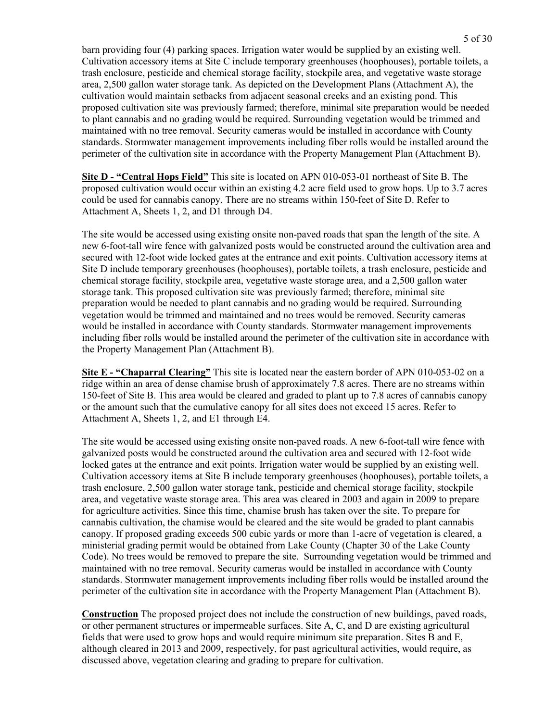barn providing four (4) parking spaces. Irrigation water would be supplied by an existing well. Cultivation accessory items at Site C include temporary greenhouses (hoophouses), portable toilets, a trash enclosure, pesticide and chemical storage facility, stockpile area, and vegetative waste storage area, 2,500 gallon water storage tank. As depicted on the Development Plans (Attachment A), the cultivation would maintain setbacks from adjacent seasonal creeks and an existing pond. This proposed cultivation site was previously farmed; therefore, minimal site preparation would be needed to plant cannabis and no grading would be required. Surrounding vegetation would be trimmed and maintained with no tree removal. Security cameras would be installed in accordance with County standards. Stormwater management improvements including fiber rolls would be installed around the perimeter of the cultivation site in accordance with the Property Management Plan (Attachment B).

**Site D - "Central Hops Field"** This site is located on APN 010-053-01 northeast of Site B. The proposed cultivation would occur within an existing 4.2 acre field used to grow hops. Up to 3.7 acres could be used for cannabis canopy. There are no streams within 150-feet of Site D. Refer to Attachment A, Sheets 1, 2, and D1 through D4.

The site would be accessed using existing onsite non-paved roads that span the length of the site. A new 6-foot-tall wire fence with galvanized posts would be constructed around the cultivation area and secured with 12-foot wide locked gates at the entrance and exit points. Cultivation accessory items at Site D include temporary greenhouses (hoophouses), portable toilets, a trash enclosure, pesticide and chemical storage facility, stockpile area, vegetative waste storage area, and a 2,500 gallon water storage tank. This proposed cultivation site was previously farmed; therefore, minimal site preparation would be needed to plant cannabis and no grading would be required. Surrounding vegetation would be trimmed and maintained and no trees would be removed. Security cameras would be installed in accordance with County standards. Stormwater management improvements including fiber rolls would be installed around the perimeter of the cultivation site in accordance with the Property Management Plan (Attachment B).

**Site E - "Chaparral Clearing"** This site is located near the eastern border of APN 010-053-02 on a ridge within an area of dense chamise brush of approximately 7.8 acres. There are no streams within 150-feet of Site B. This area would be cleared and graded to plant up to 7.8 acres of cannabis canopy or the amount such that the cumulative canopy for all sites does not exceed 15 acres. Refer to Attachment A, Sheets 1, 2, and E1 through E4.

The site would be accessed using existing onsite non-paved roads. A new 6-foot-tall wire fence with galvanized posts would be constructed around the cultivation area and secured with 12-foot wide locked gates at the entrance and exit points. Irrigation water would be supplied by an existing well. Cultivation accessory items at Site B include temporary greenhouses (hoophouses), portable toilets, a trash enclosure, 2,500 gallon water storage tank, pesticide and chemical storage facility, stockpile area, and vegetative waste storage area. This area was cleared in 2003 and again in 2009 to prepare for agriculture activities. Since this time, chamise brush has taken over the site. To prepare for cannabis cultivation, the chamise would be cleared and the site would be graded to plant cannabis canopy. If proposed grading exceeds 500 cubic yards or more than 1-acre of vegetation is cleared, a ministerial grading permit would be obtained from Lake County (Chapter 30 of the Lake County Code). No trees would be removed to prepare the site. Surrounding vegetation would be trimmed and maintained with no tree removal. Security cameras would be installed in accordance with County standards. Stormwater management improvements including fiber rolls would be installed around the perimeter of the cultivation site in accordance with the Property Management Plan (Attachment B).

**Construction** The proposed project does not include the construction of new buildings, paved roads, or other permanent structures or impermeable surfaces. Site A, C, and D are existing agricultural fields that were used to grow hops and would require minimum site preparation. Sites B and E, although cleared in 2013 and 2009, respectively, for past agricultural activities, would require, as discussed above, vegetation clearing and grading to prepare for cultivation.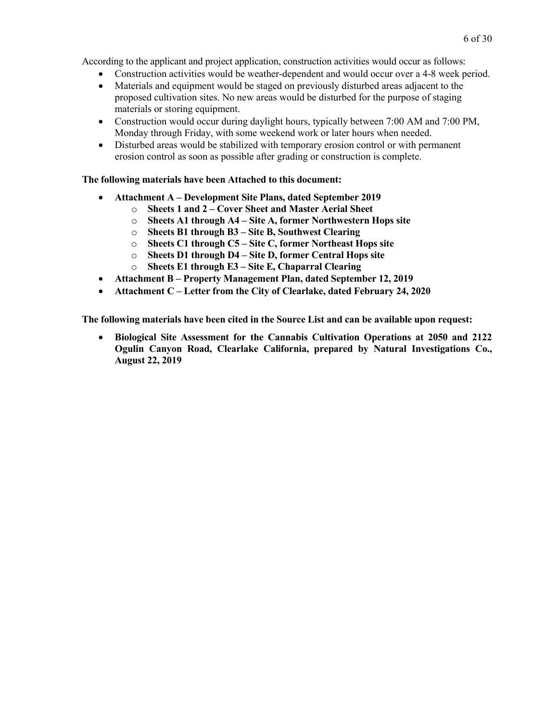According to the applicant and project application, construction activities would occur as follows:

- Construction activities would be weather-dependent and would occur over a 4-8 week period.
- Materials and equipment would be staged on previously disturbed areas adjacent to the proposed cultivation sites. No new areas would be disturbed for the purpose of staging materials or storing equipment.
- Construction would occur during daylight hours, typically between 7:00 AM and 7:00 PM, Monday through Friday, with some weekend work or later hours when needed.
- Disturbed areas would be stabilized with temporary erosion control or with permanent erosion control as soon as possible after grading or construction is complete.

#### **The following materials have been Attached to this document:**

- **Attachment A – Development Site Plans, dated September 2019**
	- o **Sheets 1 and 2 – Cover Sheet and Master Aerial Sheet**
	- o **Sheets A1 through A4 – Site A, former Northwestern Hops site**
	- o **Sheets B1 through B3 – Site B, Southwest Clearing**
	- o **Sheets C1 through C5 – Site C, former Northeast Hops site**
	- o **Sheets D1 through D4 – Site D, former Central Hops site**
	- o **Sheets E1 through E3 – Site E, Chaparral Clearing**
- **Attachment B – Property Management Plan, dated September 12, 2019**
- **Attachment C – Letter from the City of Clearlake, dated February 24, 2020**

**The following materials have been cited in the Source List and can be available upon request:** 

• **Biological Site Assessment for the Cannabis Cultivation Operations at 2050 and 2122 Ogulin Canyon Road, Clearlake California, prepared by Natural Investigations Co., August 22, 2019**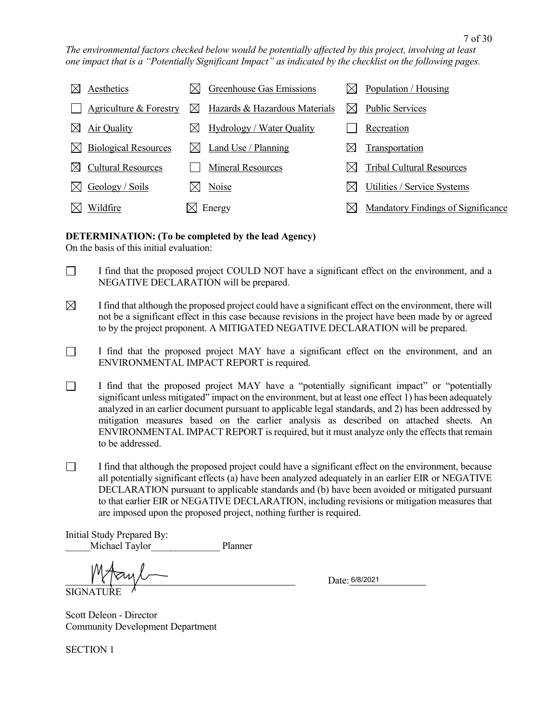*The environmental factors checked below would be potentially affected by this project, involving at least one impact that is a "Potentially Significant Impact" as indicated by the checklist on the following pages.*

|     | Aesthetics                  |   | Greenhouse Gas Emissions         |     | Population / Housing                      |
|-----|-----------------------------|---|----------------------------------|-----|-------------------------------------------|
|     | Agriculture & Forestry      | ⊠ | Hazards & Hazardous Materials    | IХI | <b>Public Services</b>                    |
|     | <b>Air Quality</b>          | ⋉ | <b>Hydrology</b> / Water Quality |     | Recreation                                |
|     | <b>Biological Resources</b> |   | Land Use / Planning              | IХI | Transportation                            |
| IXI | <b>Cultural Resources</b>   |   | <b>Mineral Resources</b>         |     | <b>Tribal Cultural Resources</b>          |
|     | Geology / Soils             |   | Noise                            |     | Utilities / Service Systems               |
|     | Wildfire                    |   | Energy                           |     | <b>Mandatory Findings of Significance</b> |

## **DETERMINATION: (To be completed by the lead Agency)**

On the basis of this initial evaluation:

- I find that the proposed project COULD NOT have a significant effect on the environment, and a NEGATIVE DECLARATION will be prepared.
- $\boxtimes$  I find that although the proposed project could have a significant effect on the environment, there will not be a significant effect in this case because revisions in the project have been made by or agreed to by the project proponent. A MITIGATED NEGATIVE DECLARATION will be prepared.
- I find that the proposed project MAY have a significant effect on the environment, and an ENVIRONMENTAL IMPACT REPORT is required.
- I find that the proposed project MAY have a "potentially significant impact" or "potentially significant unless mitigated" impact on the environment, but at least one effect 1) has been adequately analyzed in an earlier document pursuant to applicable legal standards, and 2) has been addressed by mitigation measures based on the earlier analysis as described on attached sheets. An ENVIRONMENTAL IMPACT REPORT is required, but it must analyze only the effects that remain to be addressed.
- I find that although the proposed project could have a significant effect on the environment, because all potentially significant effects (a) have been analyzed adequately in an earlier EIR or NEGATIVE DECLARATION pursuant to applicable standards and (b) have been avoided or mitigated pursuant to that earlier EIR or NEGATIVE DECLARATION, including revisions or mitigation measures that are imposed upon the proposed project, nothing further is required.

Initial Study Prepared By: Michael Taylor Planner

 $\left(\sqrt{2\pi\sqrt{2}}\right)$  Date: SIGNATURE

Date: 6/8/2021

Scott Deleon - Director Community Development Department

SECTION 1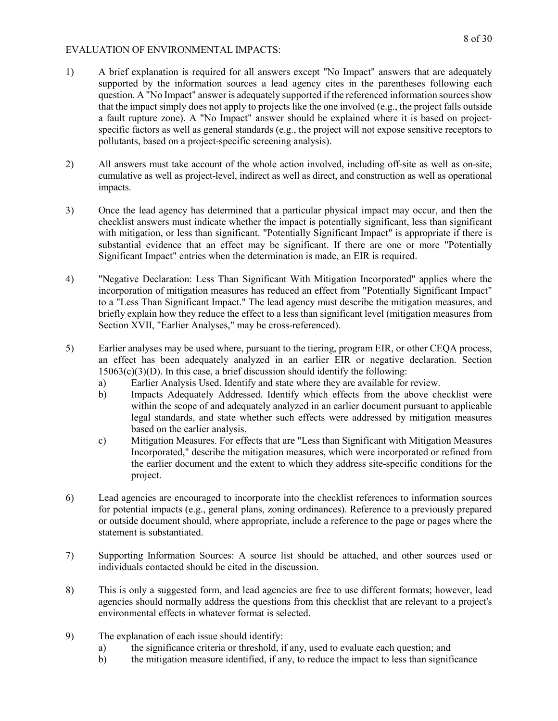## EVALUATION OF ENVIRONMENTAL IMPACTS:

- 1) A brief explanation is required for all answers except "No Impact" answers that are adequately supported by the information sources a lead agency cites in the parentheses following each question. A "No Impact" answer is adequately supported if the referenced information sources show that the impact simply does not apply to projects like the one involved (e.g., the project falls outside a fault rupture zone). A "No Impact" answer should be explained where it is based on projectspecific factors as well as general standards (e.g., the project will not expose sensitive receptors to pollutants, based on a project-specific screening analysis).
- 2) All answers must take account of the whole action involved, including off-site as well as on-site, cumulative as well as project-level, indirect as well as direct, and construction as well as operational impacts.
- 3) Once the lead agency has determined that a particular physical impact may occur, and then the checklist answers must indicate whether the impact is potentially significant, less than significant with mitigation, or less than significant. "Potentially Significant Impact" is appropriate if there is substantial evidence that an effect may be significant. If there are one or more "Potentially Significant Impact" entries when the determination is made, an EIR is required.
- 4) "Negative Declaration: Less Than Significant With Mitigation Incorporated" applies where the incorporation of mitigation measures has reduced an effect from "Potentially Significant Impact" to a "Less Than Significant Impact." The lead agency must describe the mitigation measures, and briefly explain how they reduce the effect to a less than significant level (mitigation measures from Section XVII, "Earlier Analyses," may be cross-referenced).
- 5) Earlier analyses may be used where, pursuant to the tiering, program EIR, or other CEQA process, an effect has been adequately analyzed in an earlier EIR or negative declaration. Section  $15063(c)(3)(D)$ . In this case, a brief discussion should identify the following:
	- a) Earlier Analysis Used. Identify and state where they are available for review.
	- b) Impacts Adequately Addressed. Identify which effects from the above checklist were within the scope of and adequately analyzed in an earlier document pursuant to applicable legal standards, and state whether such effects were addressed by mitigation measures based on the earlier analysis.
	- c) Mitigation Measures. For effects that are "Less than Significant with Mitigation Measures Incorporated," describe the mitigation measures, which were incorporated or refined from the earlier document and the extent to which they address site-specific conditions for the project.
- 6) Lead agencies are encouraged to incorporate into the checklist references to information sources for potential impacts (e.g., general plans, zoning ordinances). Reference to a previously prepared or outside document should, where appropriate, include a reference to the page or pages where the statement is substantiated.
- 7) Supporting Information Sources: A source list should be attached, and other sources used or individuals contacted should be cited in the discussion.
- 8) This is only a suggested form, and lead agencies are free to use different formats; however, lead agencies should normally address the questions from this checklist that are relevant to a project's environmental effects in whatever format is selected.
- 9) The explanation of each issue should identify:
	- a) the significance criteria or threshold, if any, used to evaluate each question; and
	- b) the mitigation measure identified, if any, to reduce the impact to less than significance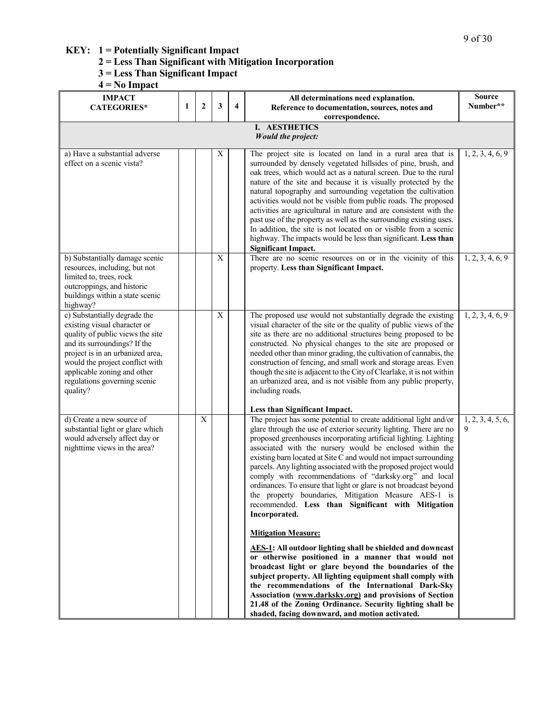# **KEY: 1 = Potentially Significant Impact**

# **3 = Less Than Significant Impact**

**4 = No Impact**

| <b>IMPACT</b><br><b>CATEGORIES*</b>                                                                                                                                                                                                                                                | 1 | $\overline{2}$ | 3           | 4 | All determinations need explanation.<br>Reference to documentation, sources, notes and<br>correspondence.                                                                                                                                                                                                                                                                                                                                                                                                                                                                                                                                                                                                                                                                                                                                                                                                                                                                                                                                                                                                                                                                           | Source<br>Number**     |  |  |  |
|------------------------------------------------------------------------------------------------------------------------------------------------------------------------------------------------------------------------------------------------------------------------------------|---|----------------|-------------|---|-------------------------------------------------------------------------------------------------------------------------------------------------------------------------------------------------------------------------------------------------------------------------------------------------------------------------------------------------------------------------------------------------------------------------------------------------------------------------------------------------------------------------------------------------------------------------------------------------------------------------------------------------------------------------------------------------------------------------------------------------------------------------------------------------------------------------------------------------------------------------------------------------------------------------------------------------------------------------------------------------------------------------------------------------------------------------------------------------------------------------------------------------------------------------------------|------------------------|--|--|--|
| I. AESTHETICS<br><b>Would the project:</b>                                                                                                                                                                                                                                         |   |                |             |   |                                                                                                                                                                                                                                                                                                                                                                                                                                                                                                                                                                                                                                                                                                                                                                                                                                                                                                                                                                                                                                                                                                                                                                                     |                        |  |  |  |
| a) Have a substantial adverse<br>effect on a scenic vista?                                                                                                                                                                                                                         |   |                | X           |   | The project site is located on land in a rural area that is<br>surrounded by densely vegetated hillsides of pine, brush, and<br>oak trees, which would act as a natural screen. Due to the rural<br>nature of the site and because it is visually protected by the<br>natural topography and surrounding vegetation the cultivation<br>activities would not be visible from public roads. The proposed<br>activities are agricultural in nature and are consistent with the<br>past use of the property as well as the surrounding existing uses.<br>In addition, the site is not located on or visible from a scenic<br>highway. The impacts would be less than significant. Less than<br><b>Significant Impact.</b>                                                                                                                                                                                                                                                                                                                                                                                                                                                               | 1, 2, 3, 4, 6, 9       |  |  |  |
| b) Substantially damage scenic<br>resources, including, but not<br>limited to, trees, rock<br>outcroppings, and historic<br>buildings within a state scenic<br>highway?                                                                                                            |   |                | $\mathbf X$ |   | There are no scenic resources on or in the vicinity of this<br>property. Less than Significant Impact.                                                                                                                                                                                                                                                                                                                                                                                                                                                                                                                                                                                                                                                                                                                                                                                                                                                                                                                                                                                                                                                                              | 1, 2, 3, 4, 6, 9       |  |  |  |
| c) Substantially degrade the<br>existing visual character or<br>quality of public views the site<br>and its surroundings? If the<br>project is in an urbanized area,<br>would the project conflict with<br>applicable zoning and other<br>regulations governing scenic<br>quality? |   |                | $\mathbf X$ |   | The proposed use would not substantially degrade the existing<br>visual character of the site or the quality of public views of the<br>site as there are no additional structures being proposed to be<br>constructed. No physical changes to the site are proposed or<br>needed other than minor grading, the cultivation of cannabis, the<br>construction of fencing, and small work and storage areas. Even<br>though the site is adjacent to the City of Clearlake, it is not within<br>an urbanized area, and is not visible from any public property,<br>including roads.<br>Less than Significant Impact.                                                                                                                                                                                                                                                                                                                                                                                                                                                                                                                                                                    | 1, 2, 3, 4, 6, 9       |  |  |  |
| d) Create a new source of<br>substantial light or glare which<br>would adversely affect day or<br>nighttime views in the area?                                                                                                                                                     |   | X              |             |   | The project has some potential to create additional light and/or<br>glare through the use of exterior security lighting. There are no<br>proposed greenhouses incorporating artificial lighting. Lighting<br>associated with the nursery would be enclosed within the<br>existing barn located at Site C and would not impact surrounding<br>parcels. Any lighting associated with the proposed project would<br>comply with recommendations of "darksky.org" and local<br>ordinances. To ensure that light or glare is not broadcast beyond<br>the property boundaries, Mitigation Measure AES-1 is<br>recommended. Less than Significant with Mitigation<br>Incorporated.<br><b>Mitigation Measure:</b><br>AES-1: All outdoor lighting shall be shielded and downcast<br>or otherwise positioned in a manner that would not<br>broadcast light or glare beyond the boundaries of the<br>subject property. All lighting equipment shall comply with<br>the recommendations of the International Dark-Sky<br>Association (www.darksky.org) and provisions of Section<br>21.48 of the Zoning Ordinance. Security lighting shall be<br>shaded, facing downward, and motion activated. | 1, 2, 3, 4, 5, 6,<br>9 |  |  |  |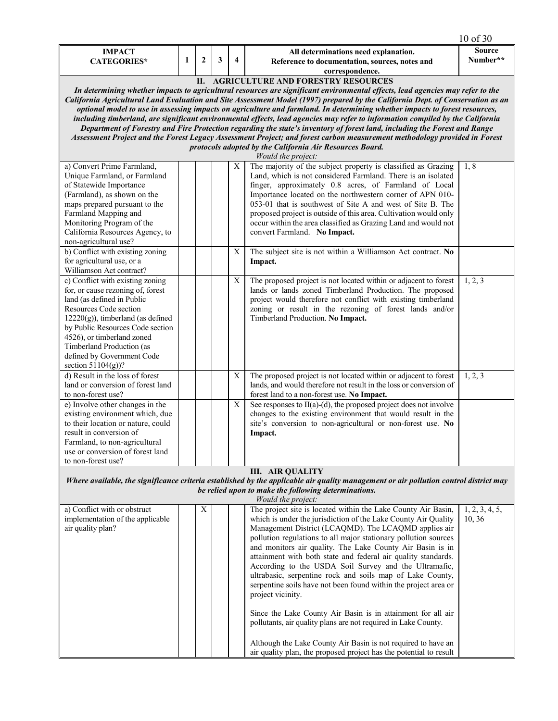| <b>Source</b><br><b>IMPACT</b><br>All determinations need explanation.<br>3<br>4<br>Number**<br>1<br>2<br><b>CATEGORIES*</b><br>Reference to documentation, sources, notes and<br>correspondence.<br><b>II. AGRICULTURE AND FORESTRY RESOURCES</b><br>In determining whether impacts to agricultural resources are significant environmental effects, lead agencies may refer to the<br>California Agricultural Land Evaluation and Site Assessment Model (1997) prepared by the California Dept. of Conservation as an<br>optional model to use in assessing impacts on agriculture and farmland. In determining whether impacts to forest resources,<br>including timberland, are significant environmental effects, lead agencies may refer to information compiled by the California<br>Department of Forestry and Fire Protection regarding the state's inventory of forest land, including the Forest and Range<br>Assessment Project and the Forest Legacy Assessment Project; and forest carbon measurement methodology provided in Forest<br>protocols adopted by the California Air Resources Board.<br>Would the project:<br>The majority of the subject property is classified as Grazing<br>a) Convert Prime Farmland,<br>1, 8<br>Χ<br>Land, which is not considered Farmland. There is an isolated<br>Unique Farmland, or Farmland<br>of Statewide Importance<br>finger, approximately 0.8 acres, of Farmland of Local<br>(Farmland), as shown on the<br>Importance located on the northwestern corner of APN 010-<br>maps prepared pursuant to the<br>053-01 that is southwest of Site A and west of Site B. The<br>proposed project is outside of this area. Cultivation would only<br>Farmland Mapping and<br>Monitoring Program of the<br>occur within the area classified as Grazing Land and would not<br>California Resources Agency, to<br>convert Farmland. No Impact.<br>non-agricultural use?<br>b) Conflict with existing zoning<br>X<br>The subject site is not within a Williamson Act contract. No<br>for agricultural use, or a<br>Impact.<br>Williamson Act contract?<br>1, 2, 3<br>c) Conflict with existing zoning<br>X<br>The proposed project is not located within or adjacent to forest<br>for, or cause rezoning of, forest<br>lands or lands zoned Timberland Production. The proposed<br>land (as defined in Public<br>project would therefore not conflict with existing timberland<br>Resources Code section<br>zoning or result in the rezoning of forest lands and/or<br>$12220(g)$ , timberland (as defined<br>Timberland Production. No Impact.<br>by Public Resources Code section<br>4526), or timberland zoned<br>Timberland Production (as<br>defined by Government Code<br>section $51104(g)$ ?<br>d) Result in the loss of forest<br>X<br>The proposed project is not located within or adjacent to forest<br>1, 2, 3<br>land or conversion of forest land<br>lands, and would therefore not result in the loss or conversion of<br>to non-forest use?<br>forest land to a non-forest use. No Impact.<br>e) Involve other changes in the<br>X<br>See responses to $II(a)-(d)$ , the proposed project does not involve<br>existing environment which, due<br>changes to the existing environment that would result in the<br>to their location or nature, could<br>site's conversion to non-agricultural or non-forest use. No<br>result in conversion of<br>Impact.<br>Farmland, to non-agricultural<br>use or conversion of forest land<br>to non-forest use?<br><b>III. AIR QUALITY</b><br>Where available, the significance criteria established by the applicable air quality management or air pollution control district may<br>be relied upon to make the following determinations.<br>Would the project:<br>The project site is located within the Lake County Air Basin,<br>a) Conflict with or obstruct<br>X<br>1, 2, 3, 4, 5,<br>implementation of the applicable<br>which is under the jurisdiction of the Lake County Air Quality<br>10,36<br>Management District (LCAQMD). The LCAQMD applies air<br>air quality plan?<br>pollution regulations to all major stationary pollution sources<br>and monitors air quality. The Lake County Air Basin is in<br>attainment with both state and federal air quality standards.<br>According to the USDA Soil Survey and the Ultramafic,<br>ultrabasic, serpentine rock and soils map of Lake County,<br>serpentine soils have not been found within the project area or<br>project vicinity.<br>Since the Lake County Air Basin is in attainment for all air<br>pollutants, air quality plans are not required in Lake County.<br>Although the Lake County Air Basin is not required to have an<br>air quality plan, the proposed project has the potential to result |  |  |  |  |  |  | 10 of 30 |  |  |  |  |
|----------------------------------------------------------------------------------------------------------------------------------------------------------------------------------------------------------------------------------------------------------------------------------------------------------------------------------------------------------------------------------------------------------------------------------------------------------------------------------------------------------------------------------------------------------------------------------------------------------------------------------------------------------------------------------------------------------------------------------------------------------------------------------------------------------------------------------------------------------------------------------------------------------------------------------------------------------------------------------------------------------------------------------------------------------------------------------------------------------------------------------------------------------------------------------------------------------------------------------------------------------------------------------------------------------------------------------------------------------------------------------------------------------------------------------------------------------------------------------------------------------------------------------------------------------------------------------------------------------------------------------------------------------------------------------------------------------------------------------------------------------------------------------------------------------------------------------------------------------------------------------------------------------------------------------------------------------------------------------------------------------------------------------------------------------------------------------------------------------------------------------------------------------------------------------------------------------------------------------------------------------------------------------------------------------------------------------------------------------------------------------------------------------------------------------------------------------------------------------------------------------------------------------------------------------------------------------------------------------------------------------------------------------------------------------------------------------------------------------------------------------------------------------------------------------------------------------------------------------------------------------------------------------------------------------------------------------------------------------------------------------------------------------------------------------------------------------------------------------------------------------------------------------------------------------------------------------------------------------------------------------------------------------------------------------------------------------------------------------------------------------------------------------------------------------------------------------------------------------------------------------------------------------------------------------------------------------------------------------------------------------------------------------------------------------------------------------------------------------------------------------------------------------------------------------------------------------------------------------------------------------------------------------------------------------------------------------------------------------------------------------------------------------------------------------------------------------------------------------------------------------------------------------------------------------------------------------------------------------------------------------------------------------------------------------------------------------------------------------------------------------------------------------------------------------------------------------------------------------------------------------------------------------------------------------------------------------------------------------------------------------------------------------------------------------------------------------------------------------------------------------------------------------|--|--|--|--|--|--|----------|--|--|--|--|
|                                                                                                                                                                                                                                                                                                                                                                                                                                                                                                                                                                                                                                                                                                                                                                                                                                                                                                                                                                                                                                                                                                                                                                                                                                                                                                                                                                                                                                                                                                                                                                                                                                                                                                                                                                                                                                                                                                                                                                                                                                                                                                                                                                                                                                                                                                                                                                                                                                                                                                                                                                                                                                                                                                                                                                                                                                                                                                                                                                                                                                                                                                                                                                                                                                                                                                                                                                                                                                                                                                                                                                                                                                                                                                                                                                                                                                                                                                                                                                                                                                                                                                                                                                                                                                                                                                                                                                                                                                                                                                                                                                                                                                                                                                                                                                                  |  |  |  |  |  |  |          |  |  |  |  |
|                                                                                                                                                                                                                                                                                                                                                                                                                                                                                                                                                                                                                                                                                                                                                                                                                                                                                                                                                                                                                                                                                                                                                                                                                                                                                                                                                                                                                                                                                                                                                                                                                                                                                                                                                                                                                                                                                                                                                                                                                                                                                                                                                                                                                                                                                                                                                                                                                                                                                                                                                                                                                                                                                                                                                                                                                                                                                                                                                                                                                                                                                                                                                                                                                                                                                                                                                                                                                                                                                                                                                                                                                                                                                                                                                                                                                                                                                                                                                                                                                                                                                                                                                                                                                                                                                                                                                                                                                                                                                                                                                                                                                                                                                                                                                                                  |  |  |  |  |  |  |          |  |  |  |  |
|                                                                                                                                                                                                                                                                                                                                                                                                                                                                                                                                                                                                                                                                                                                                                                                                                                                                                                                                                                                                                                                                                                                                                                                                                                                                                                                                                                                                                                                                                                                                                                                                                                                                                                                                                                                                                                                                                                                                                                                                                                                                                                                                                                                                                                                                                                                                                                                                                                                                                                                                                                                                                                                                                                                                                                                                                                                                                                                                                                                                                                                                                                                                                                                                                                                                                                                                                                                                                                                                                                                                                                                                                                                                                                                                                                                                                                                                                                                                                                                                                                                                                                                                                                                                                                                                                                                                                                                                                                                                                                                                                                                                                                                                                                                                                                                  |  |  |  |  |  |  |          |  |  |  |  |
|                                                                                                                                                                                                                                                                                                                                                                                                                                                                                                                                                                                                                                                                                                                                                                                                                                                                                                                                                                                                                                                                                                                                                                                                                                                                                                                                                                                                                                                                                                                                                                                                                                                                                                                                                                                                                                                                                                                                                                                                                                                                                                                                                                                                                                                                                                                                                                                                                                                                                                                                                                                                                                                                                                                                                                                                                                                                                                                                                                                                                                                                                                                                                                                                                                                                                                                                                                                                                                                                                                                                                                                                                                                                                                                                                                                                                                                                                                                                                                                                                                                                                                                                                                                                                                                                                                                                                                                                                                                                                                                                                                                                                                                                                                                                                                                  |  |  |  |  |  |  |          |  |  |  |  |
|                                                                                                                                                                                                                                                                                                                                                                                                                                                                                                                                                                                                                                                                                                                                                                                                                                                                                                                                                                                                                                                                                                                                                                                                                                                                                                                                                                                                                                                                                                                                                                                                                                                                                                                                                                                                                                                                                                                                                                                                                                                                                                                                                                                                                                                                                                                                                                                                                                                                                                                                                                                                                                                                                                                                                                                                                                                                                                                                                                                                                                                                                                                                                                                                                                                                                                                                                                                                                                                                                                                                                                                                                                                                                                                                                                                                                                                                                                                                                                                                                                                                                                                                                                                                                                                                                                                                                                                                                                                                                                                                                                                                                                                                                                                                                                                  |  |  |  |  |  |  |          |  |  |  |  |
|                                                                                                                                                                                                                                                                                                                                                                                                                                                                                                                                                                                                                                                                                                                                                                                                                                                                                                                                                                                                                                                                                                                                                                                                                                                                                                                                                                                                                                                                                                                                                                                                                                                                                                                                                                                                                                                                                                                                                                                                                                                                                                                                                                                                                                                                                                                                                                                                                                                                                                                                                                                                                                                                                                                                                                                                                                                                                                                                                                                                                                                                                                                                                                                                                                                                                                                                                                                                                                                                                                                                                                                                                                                                                                                                                                                                                                                                                                                                                                                                                                                                                                                                                                                                                                                                                                                                                                                                                                                                                                                                                                                                                                                                                                                                                                                  |  |  |  |  |  |  |          |  |  |  |  |
|                                                                                                                                                                                                                                                                                                                                                                                                                                                                                                                                                                                                                                                                                                                                                                                                                                                                                                                                                                                                                                                                                                                                                                                                                                                                                                                                                                                                                                                                                                                                                                                                                                                                                                                                                                                                                                                                                                                                                                                                                                                                                                                                                                                                                                                                                                                                                                                                                                                                                                                                                                                                                                                                                                                                                                                                                                                                                                                                                                                                                                                                                                                                                                                                                                                                                                                                                                                                                                                                                                                                                                                                                                                                                                                                                                                                                                                                                                                                                                                                                                                                                                                                                                                                                                                                                                                                                                                                                                                                                                                                                                                                                                                                                                                                                                                  |  |  |  |  |  |  |          |  |  |  |  |
|                                                                                                                                                                                                                                                                                                                                                                                                                                                                                                                                                                                                                                                                                                                                                                                                                                                                                                                                                                                                                                                                                                                                                                                                                                                                                                                                                                                                                                                                                                                                                                                                                                                                                                                                                                                                                                                                                                                                                                                                                                                                                                                                                                                                                                                                                                                                                                                                                                                                                                                                                                                                                                                                                                                                                                                                                                                                                                                                                                                                                                                                                                                                                                                                                                                                                                                                                                                                                                                                                                                                                                                                                                                                                                                                                                                                                                                                                                                                                                                                                                                                                                                                                                                                                                                                                                                                                                                                                                                                                                                                                                                                                                                                                                                                                                                  |  |  |  |  |  |  |          |  |  |  |  |
|                                                                                                                                                                                                                                                                                                                                                                                                                                                                                                                                                                                                                                                                                                                                                                                                                                                                                                                                                                                                                                                                                                                                                                                                                                                                                                                                                                                                                                                                                                                                                                                                                                                                                                                                                                                                                                                                                                                                                                                                                                                                                                                                                                                                                                                                                                                                                                                                                                                                                                                                                                                                                                                                                                                                                                                                                                                                                                                                                                                                                                                                                                                                                                                                                                                                                                                                                                                                                                                                                                                                                                                                                                                                                                                                                                                                                                                                                                                                                                                                                                                                                                                                                                                                                                                                                                                                                                                                                                                                                                                                                                                                                                                                                                                                                                                  |  |  |  |  |  |  |          |  |  |  |  |
|                                                                                                                                                                                                                                                                                                                                                                                                                                                                                                                                                                                                                                                                                                                                                                                                                                                                                                                                                                                                                                                                                                                                                                                                                                                                                                                                                                                                                                                                                                                                                                                                                                                                                                                                                                                                                                                                                                                                                                                                                                                                                                                                                                                                                                                                                                                                                                                                                                                                                                                                                                                                                                                                                                                                                                                                                                                                                                                                                                                                                                                                                                                                                                                                                                                                                                                                                                                                                                                                                                                                                                                                                                                                                                                                                                                                                                                                                                                                                                                                                                                                                                                                                                                                                                                                                                                                                                                                                                                                                                                                                                                                                                                                                                                                                                                  |  |  |  |  |  |  |          |  |  |  |  |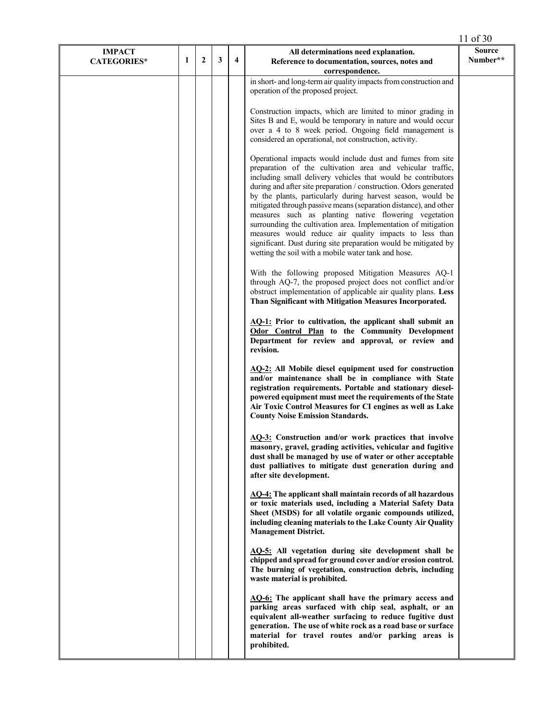# 11 of 30

| <b>IMPACT</b><br><b>CATEGORIES*</b> | 1 | $\boldsymbol{2}$ | 3 | 4 | All determinations need explanation.<br>Reference to documentation, sources, notes and                                                                                                                                                                                                                                                                                                                                                                                                                                                                                                                                                                                                                          | Source<br>Number** |
|-------------------------------------|---|------------------|---|---|-----------------------------------------------------------------------------------------------------------------------------------------------------------------------------------------------------------------------------------------------------------------------------------------------------------------------------------------------------------------------------------------------------------------------------------------------------------------------------------------------------------------------------------------------------------------------------------------------------------------------------------------------------------------------------------------------------------------|--------------------|
|                                     |   |                  |   |   | correspondence.<br>in short- and long-term air quality impacts from construction and<br>operation of the proposed project.                                                                                                                                                                                                                                                                                                                                                                                                                                                                                                                                                                                      |                    |
|                                     |   |                  |   |   | Construction impacts, which are limited to minor grading in<br>Sites B and E, would be temporary in nature and would occur<br>over a 4 to 8 week period. Ongoing field management is<br>considered an operational, not construction, activity.                                                                                                                                                                                                                                                                                                                                                                                                                                                                  |                    |
|                                     |   |                  |   |   | Operational impacts would include dust and fumes from site<br>preparation of the cultivation area and vehicular traffic,<br>including small delivery vehicles that would be contributors<br>during and after site preparation / construction. Odors generated<br>by the plants, particularly during harvest season, would be<br>mitigated through passive means (separation distance), and other<br>measures such as planting native flowering vegetation<br>surrounding the cultivation area. Implementation of mitigation<br>measures would reduce air quality impacts to less than<br>significant. Dust during site preparation would be mitigated by<br>wetting the soil with a mobile water tank and hose. |                    |
|                                     |   |                  |   |   | With the following proposed Mitigation Measures AQ-1<br>through AQ-7, the proposed project does not conflict and/or<br>obstruct implementation of applicable air quality plans. Less<br>Than Significant with Mitigation Measures Incorporated.                                                                                                                                                                                                                                                                                                                                                                                                                                                                 |                    |
|                                     |   |                  |   |   | AQ-1: Prior to cultivation, the applicant shall submit an<br>Odor Control Plan to the Community Development<br>Department for review and approval, or review and<br>revision.                                                                                                                                                                                                                                                                                                                                                                                                                                                                                                                                   |                    |
|                                     |   |                  |   |   | <b>AQ-2:</b> All Mobile diesel equipment used for construction<br>and/or maintenance shall be in compliance with State<br>registration requirements. Portable and stationary diesel-<br>powered equipment must meet the requirements of the State<br>Air Toxic Control Measures for CI engines as well as Lake<br><b>County Noise Emission Standards.</b>                                                                                                                                                                                                                                                                                                                                                       |                    |
|                                     |   |                  |   |   | AO-3: Construction and/or work practices that involve<br>masonry, gravel, grading activities, vehicular and fugitive<br>dust shall be managed by use of water or other acceptable<br>dust palliatives to mitigate dust generation during and<br>after site development.                                                                                                                                                                                                                                                                                                                                                                                                                                         |                    |
|                                     |   |                  |   |   | <b>AQ-4:</b> The applicant shall maintain records of all hazardous<br>or toxic materials used, including a Material Safety Data<br>Sheet (MSDS) for all volatile organic compounds utilized,<br>including cleaning materials to the Lake County Air Quality<br><b>Management District.</b>                                                                                                                                                                                                                                                                                                                                                                                                                      |                    |
|                                     |   |                  |   |   | AQ-5: All vegetation during site development shall be<br>chipped and spread for ground cover and/or erosion control.<br>The burning of vegetation, construction debris, including<br>waste material is prohibited.                                                                                                                                                                                                                                                                                                                                                                                                                                                                                              |                    |
|                                     |   |                  |   |   | AQ-6: The applicant shall have the primary access and<br>parking areas surfaced with chip seal, asphalt, or an<br>equivalent all-weather surfacing to reduce fugitive dust<br>generation. The use of white rock as a road base or surface<br>material for travel routes and/or parking areas is<br>prohibited.                                                                                                                                                                                                                                                                                                                                                                                                  |                    |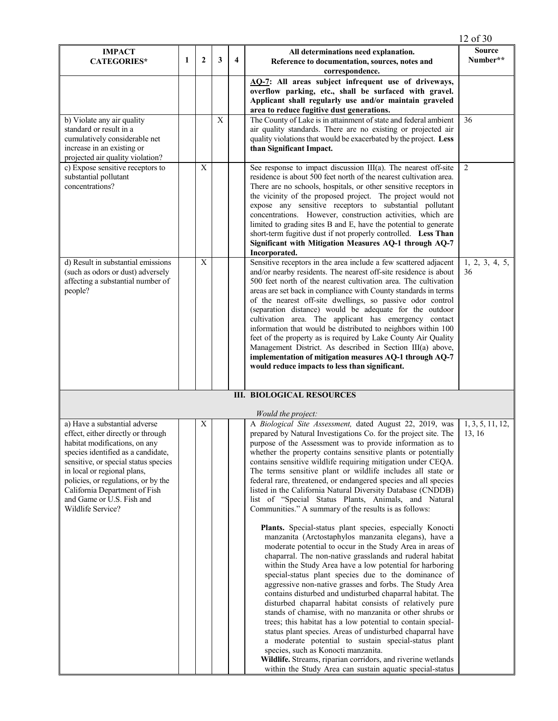|--|

| <b>IMPACT</b><br><b>CATEGORIES*</b>                                                                                                                                                                                                                                                                                                         | 1 | $\mathbf{2}$ | 3 | 4 | All determinations need explanation.<br>Reference to documentation, sources, notes and<br>correspondence.                                                                                                                                                                                                                                                                                                                                                                                                                                                                                                                                                                                                                                                                                                                                                                                                                                                                                                                                                                                                                                                                                                                                                                                                                                                                                                                                                                                                                                                                                                           | Source<br>Number**         |
|---------------------------------------------------------------------------------------------------------------------------------------------------------------------------------------------------------------------------------------------------------------------------------------------------------------------------------------------|---|--------------|---|---|---------------------------------------------------------------------------------------------------------------------------------------------------------------------------------------------------------------------------------------------------------------------------------------------------------------------------------------------------------------------------------------------------------------------------------------------------------------------------------------------------------------------------------------------------------------------------------------------------------------------------------------------------------------------------------------------------------------------------------------------------------------------------------------------------------------------------------------------------------------------------------------------------------------------------------------------------------------------------------------------------------------------------------------------------------------------------------------------------------------------------------------------------------------------------------------------------------------------------------------------------------------------------------------------------------------------------------------------------------------------------------------------------------------------------------------------------------------------------------------------------------------------------------------------------------------------------------------------------------------------|----------------------------|
|                                                                                                                                                                                                                                                                                                                                             |   |              |   |   | AQ-7: All areas subject infrequent use of driveways,<br>overflow parking, etc., shall be surfaced with gravel.<br>Applicant shall regularly use and/or maintain graveled<br>area to reduce fugitive dust generations.                                                                                                                                                                                                                                                                                                                                                                                                                                                                                                                                                                                                                                                                                                                                                                                                                                                                                                                                                                                                                                                                                                                                                                                                                                                                                                                                                                                               |                            |
| b) Violate any air quality<br>standard or result in a<br>cumulatively considerable net<br>increase in an existing or<br>projected air quality violation?                                                                                                                                                                                    |   |              | X |   | The County of Lake is in attainment of state and federal ambient<br>air quality standards. There are no existing or projected air<br>quality violations that would be exacerbated by the project. Less<br>than Significant Impact.                                                                                                                                                                                                                                                                                                                                                                                                                                                                                                                                                                                                                                                                                                                                                                                                                                                                                                                                                                                                                                                                                                                                                                                                                                                                                                                                                                                  | 36                         |
| c) Expose sensitive receptors to<br>substantial pollutant<br>concentrations?                                                                                                                                                                                                                                                                |   | X            |   |   | See response to impact discussion III(a). The nearest off-site<br>residence is about 500 feet north of the nearest cultivation area.<br>There are no schools, hospitals, or other sensitive receptors in<br>the vicinity of the proposed project. The project would not<br>expose any sensitive receptors to substantial pollutant<br>concentrations. However, construction activities, which are<br>limited to grading sites B and E, have the potential to generate<br>short-term fugitive dust if not properly controlled. Less Than<br>Significant with Mitigation Measures AQ-1 through AQ-7<br>Incorporated.                                                                                                                                                                                                                                                                                                                                                                                                                                                                                                                                                                                                                                                                                                                                                                                                                                                                                                                                                                                                  | 2                          |
| d) Result in substantial emissions<br>(such as odors or dust) adversely<br>affecting a substantial number of<br>people?                                                                                                                                                                                                                     |   | X            |   |   | Sensitive receptors in the area include a few scattered adjacent<br>and/or nearby residents. The nearest off-site residence is about<br>500 feet north of the nearest cultivation area. The cultivation<br>areas are set back in compliance with County standards in terms<br>of the nearest off-site dwellings, so passive odor control<br>(separation distance) would be adequate for the outdoor<br>cultivation area. The applicant has emergency contact<br>information that would be distributed to neighbors within 100<br>feet of the property as is required by Lake County Air Quality<br>Management District. As described in Section III(a) above,<br>implementation of mitigation measures AQ-1 through AQ-7<br>would reduce impacts to less than significant.                                                                                                                                                                                                                                                                                                                                                                                                                                                                                                                                                                                                                                                                                                                                                                                                                                          | 1, 2, 3, 4, 5,<br>36       |
|                                                                                                                                                                                                                                                                                                                                             |   |              |   |   | <b>III. BIOLOGICAL RESOURCES</b><br>Would the project:                                                                                                                                                                                                                                                                                                                                                                                                                                                                                                                                                                                                                                                                                                                                                                                                                                                                                                                                                                                                                                                                                                                                                                                                                                                                                                                                                                                                                                                                                                                                                              |                            |
| a) Have a substantial adverse<br>effect, either directly or through<br>habitat modifications, on any<br>species identified as a candidate,<br>sensitive, or special status species<br>in local or regional plans,<br>policies, or regulations, or by the<br>California Department of Fish<br>and Game or U.S. Fish and<br>Wildlife Service? |   | X            |   |   | A Biological Site Assessment, dated August 22, 2019, was<br>prepared by Natural Investigations Co. for the project site. The<br>purpose of the Assessment was to provide information as to<br>whether the property contains sensitive plants or potentially<br>contains sensitive wildlife requiring mitigation under CEQA.<br>The terms sensitive plant or wildlife includes all state or<br>federal rare, threatened, or endangered species and all species<br>listed in the California Natural Diversity Database (CNDDB)<br>list of "Special Status Plants, Animals, and Natural<br>Communities." A summary of the results is as follows:<br>Plants. Special-status plant species, especially Konocti<br>manzanita (Arctostaphylos manzanita elegans), have a<br>moderate potential to occur in the Study Area in areas of<br>chaparral. The non-native grasslands and ruderal habitat<br>within the Study Area have a low potential for harboring<br>special-status plant species due to the dominance of<br>aggressive non-native grasses and forbs. The Study Area<br>contains disturbed and undisturbed chaparral habitat. The<br>disturbed chaparral habitat consists of relatively pure<br>stands of chamise, with no manzanita or other shrubs or<br>trees; this habitat has a low potential to contain special-<br>status plant species. Areas of undisturbed chaparral have<br>a moderate potential to sustain special-status plant<br>species, such as Konocti manzanita.<br>Wildlife. Streams, riparian corridors, and riverine wetlands<br>within the Study Area can sustain aquatic special-status | 1, 3, 5, 11, 12,<br>13, 16 |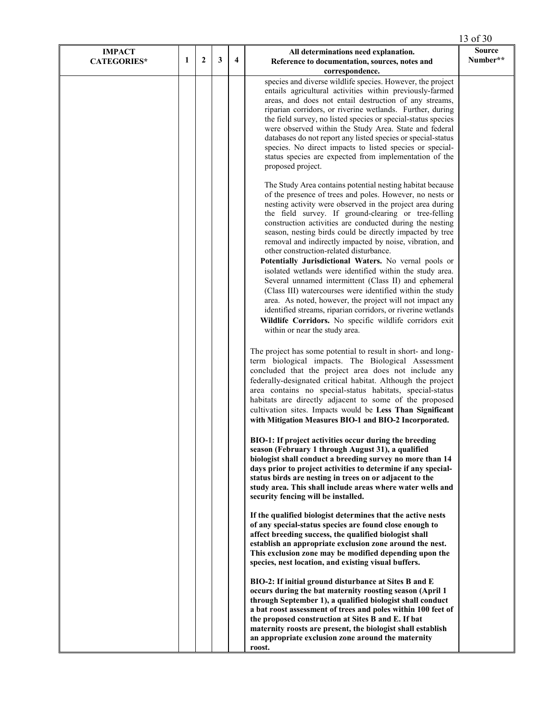|                    |   |                  |   |                |                                                                                                                   | 13 of 30      |
|--------------------|---|------------------|---|----------------|-------------------------------------------------------------------------------------------------------------------|---------------|
| <b>IMPACT</b>      |   |                  |   |                | All determinations need explanation.                                                                              | <b>Source</b> |
| <b>CATEGORIES*</b> | 1 | $\boldsymbol{2}$ | 3 | $\overline{4}$ | Reference to documentation, sources, notes and                                                                    | Number**      |
|                    |   |                  |   |                | correspondence.                                                                                                   |               |
|                    |   |                  |   |                | species and diverse wildlife species. However, the project                                                        |               |
|                    |   |                  |   |                | entails agricultural activities within previously-farmed                                                          |               |
|                    |   |                  |   |                | areas, and does not entail destruction of any streams,                                                            |               |
|                    |   |                  |   |                | riparian corridors, or riverine wetlands. Further, during                                                         |               |
|                    |   |                  |   |                | the field survey, no listed species or special-status species                                                     |               |
|                    |   |                  |   |                | were observed within the Study Area. State and federal                                                            |               |
|                    |   |                  |   |                | databases do not report any listed species or special-status                                                      |               |
|                    |   |                  |   |                | species. No direct impacts to listed species or special-                                                          |               |
|                    |   |                  |   |                | status species are expected from implementation of the                                                            |               |
|                    |   |                  |   |                | proposed project.                                                                                                 |               |
|                    |   |                  |   |                | The Study Area contains potential nesting habitat because                                                         |               |
|                    |   |                  |   |                | of the presence of trees and poles. However, no nests or                                                          |               |
|                    |   |                  |   |                | nesting activity were observed in the project area during                                                         |               |
|                    |   |                  |   |                | the field survey. If ground-clearing or tree-felling                                                              |               |
|                    |   |                  |   |                | construction activities are conducted during the nesting                                                          |               |
|                    |   |                  |   |                | season, nesting birds could be directly impacted by tree                                                          |               |
|                    |   |                  |   |                | removal and indirectly impacted by noise, vibration, and                                                          |               |
|                    |   |                  |   |                | other construction-related disturbance.                                                                           |               |
|                    |   |                  |   |                | Potentially Jurisdictional Waters. No vernal pools or                                                             |               |
|                    |   |                  |   |                | isolated wetlands were identified within the study area.                                                          |               |
|                    |   |                  |   |                | Several unnamed intermittent (Class II) and ephemeral                                                             |               |
|                    |   |                  |   |                | (Class III) watercourses were identified within the study                                                         |               |
|                    |   |                  |   |                | area. As noted, however, the project will not impact any                                                          |               |
|                    |   |                  |   |                | identified streams, riparian corridors, or riverine wetlands                                                      |               |
|                    |   |                  |   |                | Wildlife Corridors. No specific wildlife corridors exit                                                           |               |
|                    |   |                  |   |                | within or near the study area.                                                                                    |               |
|                    |   |                  |   |                |                                                                                                                   |               |
|                    |   |                  |   |                | The project has some potential to result in short- and long-                                                      |               |
|                    |   |                  |   |                | term biological impacts. The Biological Assessment                                                                |               |
|                    |   |                  |   |                | concluded that the project area does not include any                                                              |               |
|                    |   |                  |   |                | federally-designated critical habitat. Although the project                                                       |               |
|                    |   |                  |   |                | area contains no special-status habitats, special-status                                                          |               |
|                    |   |                  |   |                | habitats are directly adjacent to some of the proposed                                                            |               |
|                    |   |                  |   |                | cultivation sites. Impacts would be Less Than Significant                                                         |               |
|                    |   |                  |   |                | with Mitigation Measures BIO-1 and BIO-2 Incorporated.                                                            |               |
|                    |   |                  |   |                |                                                                                                                   |               |
|                    |   |                  |   |                | BIO-1: If project activities occur during the breeding                                                            |               |
|                    |   |                  |   |                | season (February 1 through August 31), a qualified                                                                |               |
|                    |   |                  |   |                | biologist shall conduct a breeding survey no more than 14                                                         |               |
|                    |   |                  |   |                | days prior to project activities to determine if any special-                                                     |               |
|                    |   |                  |   |                | status birds are nesting in trees on or adjacent to the                                                           |               |
|                    |   |                  |   |                | study area. This shall include areas where water wells and<br>security fencing will be installed.                 |               |
|                    |   |                  |   |                |                                                                                                                   |               |
|                    |   |                  |   |                | If the qualified biologist determines that the active nests                                                       |               |
|                    |   |                  |   |                | of any special-status species are found close enough to                                                           |               |
|                    |   |                  |   |                | affect breeding success, the qualified biologist shall                                                            |               |
|                    |   |                  |   |                | establish an appropriate exclusion zone around the nest.                                                          |               |
|                    |   |                  |   |                | This exclusion zone may be modified depending upon the                                                            |               |
|                    |   |                  |   |                | species, nest location, and existing visual buffers.                                                              |               |
|                    |   |                  |   |                |                                                                                                                   |               |
|                    |   |                  |   |                | BIO-2: If initial ground disturbance at Sites B and E                                                             |               |
|                    |   |                  |   |                | occurs during the bat maternity roosting season (April 1                                                          |               |
|                    |   |                  |   |                | through September 1), a qualified biologist shall conduct                                                         |               |
|                    |   |                  |   |                | a bat roost assessment of trees and poles within 100 feet of                                                      |               |
|                    |   |                  |   |                | the proposed construction at Sites B and E. If bat<br>maternity roosts are present, the biologist shall establish |               |
|                    |   |                  |   |                | an appropriate exclusion zone around the maternity                                                                |               |
|                    |   |                  |   |                | roost.                                                                                                            |               |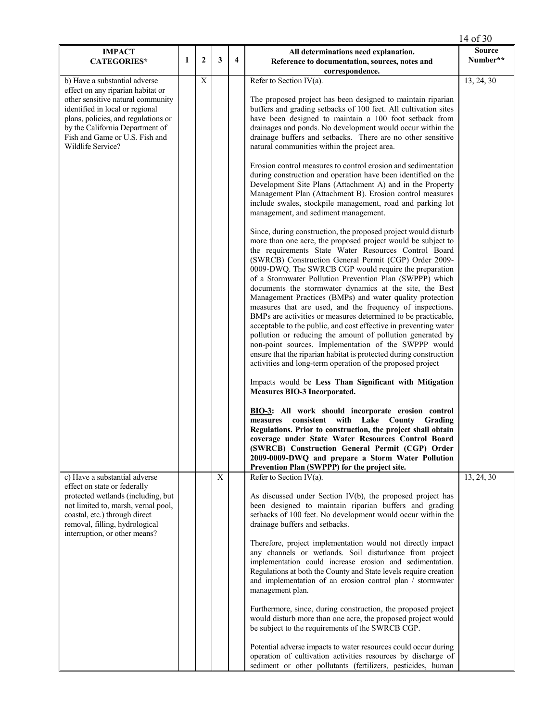|   | ١ |  |
|---|---|--|
| г |   |  |

|                                                                                                                                                                                                                                                                             |   |                  |   |                         |                                                                                                                                                                                                                                                                                                                                                                                                                                                                                                                                                                                                                                                                                                                                                                                                                                                                                                                                                                                                                                                                                                                                                                                                                                                                                                                                                                                                                                                                                                                                                                                                                                                                                                                                                                                                         | 14 of 30                  |
|-----------------------------------------------------------------------------------------------------------------------------------------------------------------------------------------------------------------------------------------------------------------------------|---|------------------|---|-------------------------|---------------------------------------------------------------------------------------------------------------------------------------------------------------------------------------------------------------------------------------------------------------------------------------------------------------------------------------------------------------------------------------------------------------------------------------------------------------------------------------------------------------------------------------------------------------------------------------------------------------------------------------------------------------------------------------------------------------------------------------------------------------------------------------------------------------------------------------------------------------------------------------------------------------------------------------------------------------------------------------------------------------------------------------------------------------------------------------------------------------------------------------------------------------------------------------------------------------------------------------------------------------------------------------------------------------------------------------------------------------------------------------------------------------------------------------------------------------------------------------------------------------------------------------------------------------------------------------------------------------------------------------------------------------------------------------------------------------------------------------------------------------------------------------------------------|---------------------------|
| <b>IMPACT</b><br><b>CATEGORIES*</b>                                                                                                                                                                                                                                         | 1 | $\boldsymbol{2}$ | 3 | $\overline{\mathbf{4}}$ | All determinations need explanation.<br>Reference to documentation, sources, notes and                                                                                                                                                                                                                                                                                                                                                                                                                                                                                                                                                                                                                                                                                                                                                                                                                                                                                                                                                                                                                                                                                                                                                                                                                                                                                                                                                                                                                                                                                                                                                                                                                                                                                                                  | <b>Source</b><br>Number** |
| b) Have a substantial adverse<br>effect on any riparian habitat or<br>other sensitive natural community<br>identified in local or regional<br>plans, policies, and regulations or<br>by the California Department of<br>Fish and Game or U.S. Fish and<br>Wildlife Service? |   | $\mathbf X$      |   |                         | correspondence.<br>Refer to Section IV(a).<br>The proposed project has been designed to maintain riparian<br>buffers and grading setbacks of 100 feet. All cultivation sites<br>have been designed to maintain a 100 foot setback from<br>drainages and ponds. No development would occur within the<br>drainage buffers and setbacks. There are no other sensitive<br>natural communities within the project area.<br>Erosion control measures to control erosion and sedimentation<br>during construction and operation have been identified on the<br>Development Site Plans (Attachment A) and in the Property<br>Management Plan (Attachment B). Erosion control measures<br>include swales, stockpile management, road and parking lot<br>management, and sediment management.<br>Since, during construction, the proposed project would disturb<br>more than one acre, the proposed project would be subject to<br>the requirements State Water Resources Control Board<br>(SWRCB) Construction General Permit (CGP) Order 2009-<br>0009-DWQ. The SWRCB CGP would require the preparation<br>of a Stormwater Pollution Prevention Plan (SWPPP) which<br>documents the stormwater dynamics at the site, the Best<br>Management Practices (BMPs) and water quality protection<br>measures that are used, and the frequency of inspections.<br>BMPs are activities or measures determined to be practicable,<br>acceptable to the public, and cost effective in preventing water<br>pollution or reducing the amount of pollution generated by<br>non-point sources. Implementation of the SWPPP would<br>ensure that the riparian habitat is protected during construction<br>activities and long-term operation of the proposed project<br>Impacts would be Less Than Significant with Mitigation | 13, 24, 30                |
| c) Have a substantial adverse<br>effect on state or federally<br>protected wetlands (including, but<br>not limited to, marsh, vernal pool,<br>coastal, etc.) through direct<br>removal, filling, hydrological<br>interruption, or other means?                              |   |                  | X |                         | <b>Measures BIO-3 Incorporated.</b><br>BIO-3: All work should incorporate erosion control<br>consistent with Lake County Grading<br>measures<br>Regulations. Prior to construction, the project shall obtain<br>coverage under State Water Resources Control Board<br>(SWRCB) Construction General Permit (CGP) Order<br>2009-0009-DWQ and prepare a Storm Water Pollution<br>Prevention Plan (SWPPP) for the project site.<br>Refer to Section IV(a).<br>As discussed under Section IV(b), the proposed project has<br>been designed to maintain riparian buffers and grading<br>setbacks of 100 feet. No development would occur within the<br>drainage buffers and setbacks.<br>Therefore, project implementation would not directly impact<br>any channels or wetlands. Soil disturbance from project<br>implementation could increase erosion and sedimentation.<br>Regulations at both the County and State levels require creation<br>and implementation of an erosion control plan / stormwater<br>management plan.<br>Furthermore, since, during construction, the proposed project<br>would disturb more than one acre, the proposed project would<br>be subject to the requirements of the SWRCB CGP.<br>Potential adverse impacts to water resources could occur during<br>operation of cultivation activities resources by discharge of<br>sediment or other pollutants (fertilizers, pesticides, human                                                                                                                                                                                                                                                                                                                                                                                    | 13, 24, 30                |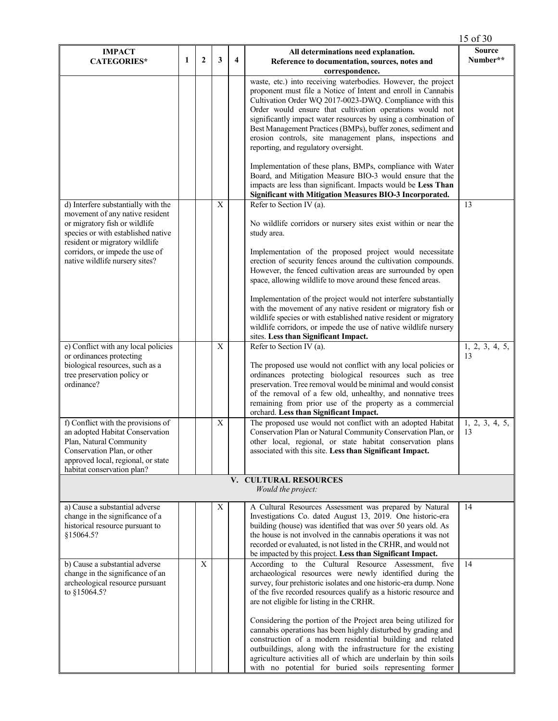|                                                                                                                                                                                                               |   |                  |                           |                |                                                                                                                                                                                                                                                                                                                                                                                                                                                                                                                                                                                                                                                                                                                                                                         | 15 of 30                  |
|---------------------------------------------------------------------------------------------------------------------------------------------------------------------------------------------------------------|---|------------------|---------------------------|----------------|-------------------------------------------------------------------------------------------------------------------------------------------------------------------------------------------------------------------------------------------------------------------------------------------------------------------------------------------------------------------------------------------------------------------------------------------------------------------------------------------------------------------------------------------------------------------------------------------------------------------------------------------------------------------------------------------------------------------------------------------------------------------------|---------------------------|
| <b>IMPACT</b><br><b>CATEGORIES*</b>                                                                                                                                                                           | 1 | $\boldsymbol{2}$ | 3                         | $\overline{4}$ | All determinations need explanation.<br>Reference to documentation, sources, notes and                                                                                                                                                                                                                                                                                                                                                                                                                                                                                                                                                                                                                                                                                  | <b>Source</b><br>Number** |
|                                                                                                                                                                                                               |   |                  |                           |                | correspondence.<br>waste, etc.) into receiving waterbodies. However, the project<br>proponent must file a Notice of Intent and enroll in Cannabis<br>Cultivation Order WQ 2017-0023-DWQ. Compliance with this<br>Order would ensure that cultivation operations would not<br>significantly impact water resources by using a combination of<br>Best Management Practices (BMPs), buffer zones, sediment and<br>erosion controls, site management plans, inspections and<br>reporting, and regulatory oversight.<br>Implementation of these plans, BMPs, compliance with Water<br>Board, and Mitigation Measure BIO-3 would ensure that the<br>impacts are less than significant. Impacts would be Less Than<br>Significant with Mitigation Measures BIO-3 Incorporated. |                           |
| d) Interfere substantially with the                                                                                                                                                                           |   |                  | $\overline{X}$            |                | Refer to Section IV (a).                                                                                                                                                                                                                                                                                                                                                                                                                                                                                                                                                                                                                                                                                                                                                | 13                        |
| movement of any native resident<br>or migratory fish or wildlife<br>species or with established native<br>resident or migratory wildlife<br>corridors, or impede the use of<br>native wildlife nursery sites? |   |                  |                           |                | No wildlife corridors or nursery sites exist within or near the<br>study area.<br>Implementation of the proposed project would necessitate<br>erection of security fences around the cultivation compounds.<br>However, the fenced cultivation areas are surrounded by open<br>space, allowing wildlife to move around these fenced areas.<br>Implementation of the project would not interfere substantially<br>with the movement of any native resident or migratory fish or<br>wildlife species or with established native resident or migratory<br>wildlife corridors, or impede the use of native wildlife nursery<br>sites. Less than Significant Impact.                                                                                                         |                           |
| e) Conflict with any local policies                                                                                                                                                                           |   |                  | $\overline{X}$            |                | Refer to Section IV (a).                                                                                                                                                                                                                                                                                                                                                                                                                                                                                                                                                                                                                                                                                                                                                | 1, 2, 3, 4, 5,            |
| or ordinances protecting<br>biological resources, such as a<br>tree preservation policy or<br>ordinance?                                                                                                      |   |                  |                           |                | The proposed use would not conflict with any local policies or<br>ordinances protecting biological resources such as tree<br>preservation. Tree removal would be minimal and would consist<br>of the removal of a few old, unhealthy, and nonnative trees<br>remaining from prior use of the property as a commercial<br>orchard. Less than Significant Impact.                                                                                                                                                                                                                                                                                                                                                                                                         | 13                        |
| f) Conflict with the provisions of<br>an adopted Habitat Conservation<br>Plan, Natural Community<br>Conservation Plan, or other<br>approved local, regional, or state<br>habitat conservation plan?           |   |                  | $\boldsymbol{\mathrm{X}}$ |                | The proposed use would not conflict with an adopted Habitat<br>Conservation Plan or Natural Community Conservation Plan, or<br>other local, regional, or state habitat conservation plans<br>associated with this site. Less than Significant Impact.                                                                                                                                                                                                                                                                                                                                                                                                                                                                                                                   | 1, 2, 3, 4, 5,<br>13      |
|                                                                                                                                                                                                               |   |                  |                           |                | V. CULTURAL RESOURCES<br>Would the project:                                                                                                                                                                                                                                                                                                                                                                                                                                                                                                                                                                                                                                                                                                                             |                           |
| a) Cause a substantial adverse<br>change in the significance of a<br>historical resource pursuant to<br>§15064.5?                                                                                             |   |                  | X                         |                | A Cultural Resources Assessment was prepared by Natural<br>Investigations Co. dated August 13, 2019. One historic-era<br>building (house) was identified that was over 50 years old. As<br>the house is not involved in the cannabis operations it was not<br>recorded or evaluated, is not listed in the CRHR, and would not<br>be impacted by this project. Less than Significant Impact.                                                                                                                                                                                                                                                                                                                                                                             | 14                        |
| b) Cause a substantial adverse<br>change in the significance of an<br>archeological resource pursuant<br>to §15064.5?                                                                                         |   | $\mathbf X$      |                           |                | According to the Cultural Resource Assessment, five<br>archaeological resources were newly identified during the<br>survey, four prehistoric isolates and one historic-era dump. None<br>of the five recorded resources qualify as a historic resource and<br>are not eligible for listing in the CRHR.<br>Considering the portion of the Project area being utilized for<br>cannabis operations has been highly disturbed by grading and<br>construction of a modern residential building and related<br>outbuildings, along with the infrastructure for the existing<br>agriculture activities all of which are underlain by thin soils<br>with no potential for buried soils representing former                                                                     | 14                        |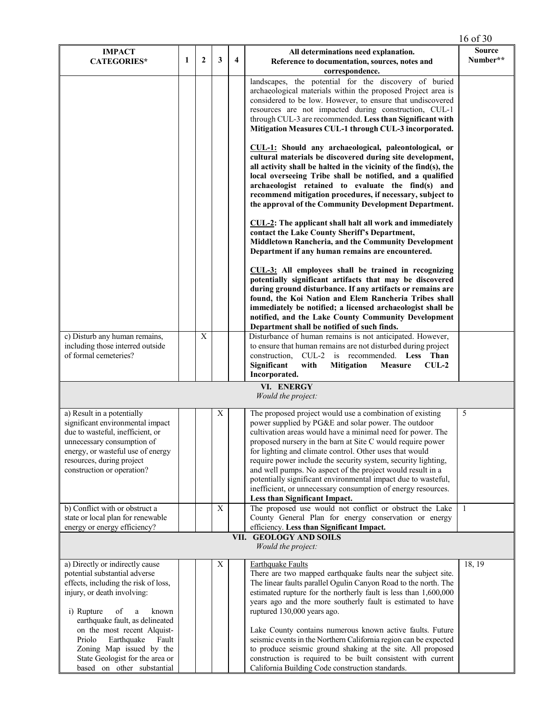| ſ<br>U. |
|---------|
|---------|

| <b>IMPACT</b><br><b>CATEGORIES*</b>                                                                                                                                                                                                         | 1 | $\mathbf{2}$ | 3           | 4 | All determinations need explanation.<br>Reference to documentation, sources, notes and                                                                                                                                                                                                                                                                                                                                                                                                                                                                                 | <b>Source</b><br>Number** |  |  |  |
|---------------------------------------------------------------------------------------------------------------------------------------------------------------------------------------------------------------------------------------------|---|--------------|-------------|---|------------------------------------------------------------------------------------------------------------------------------------------------------------------------------------------------------------------------------------------------------------------------------------------------------------------------------------------------------------------------------------------------------------------------------------------------------------------------------------------------------------------------------------------------------------------------|---------------------------|--|--|--|
|                                                                                                                                                                                                                                             |   |              |             |   | correspondence.<br>landscapes, the potential for the discovery of buried<br>archaeological materials within the proposed Project area is<br>considered to be low. However, to ensure that undiscovered<br>resources are not impacted during construction, CUL-1<br>through CUL-3 are recommended. Less than Significant with<br>Mitigation Measures CUL-1 through CUL-3 incorporated.                                                                                                                                                                                  |                           |  |  |  |
|                                                                                                                                                                                                                                             |   |              |             |   | CUL-1: Should any archaeological, paleontological, or<br>cultural materials be discovered during site development,<br>all activity shall be halted in the vicinity of the find(s), the<br>local overseeing Tribe shall be notified, and a qualified<br>archaeologist retained to evaluate the find(s) and<br>recommend mitigation procedures, if necessary, subject to<br>the approval of the Community Development Department.                                                                                                                                        |                           |  |  |  |
|                                                                                                                                                                                                                                             |   |              |             |   | <b>CUL-2:</b> The applicant shall halt all work and immediately<br>contact the Lake County Sheriff's Department,<br>Middletown Rancheria, and the Community Development<br>Department if any human remains are encountered.                                                                                                                                                                                                                                                                                                                                            |                           |  |  |  |
|                                                                                                                                                                                                                                             |   |              |             |   | CUL-3: All employees shall be trained in recognizing<br>potentially significant artifacts that may be discovered<br>during ground disturbance. If any artifacts or remains are<br>found, the Koi Nation and Elem Rancheria Tribes shall<br>immediately be notified; a licensed archaeologist shall be<br>notified, and the Lake County Community Development<br>Department shall be notified of such finds.                                                                                                                                                            |                           |  |  |  |
| c) Disturb any human remains,<br>including those interred outside<br>of formal cemeteries?                                                                                                                                                  |   | X            |             |   | Disturbance of human remains is not anticipated. However,<br>to ensure that human remains are not disturbed during project<br>construction,<br>CUL-2 is recommended. Less<br>Than<br>Significant<br>with<br>$CUL-2$<br><b>Mitigation</b><br>Measure<br>Incorporated.                                                                                                                                                                                                                                                                                                   |                           |  |  |  |
|                                                                                                                                                                                                                                             |   |              |             |   | VI. ENERGY                                                                                                                                                                                                                                                                                                                                                                                                                                                                                                                                                             |                           |  |  |  |
|                                                                                                                                                                                                                                             |   |              |             |   | Would the project:                                                                                                                                                                                                                                                                                                                                                                                                                                                                                                                                                     |                           |  |  |  |
| a) Result in a potentially<br>significant environmental impact<br>due to wasteful, inefficient, or<br>unnecessary consumption of<br>energy, or wasteful use of energy<br>resources, during project<br>construction or operation?            |   |              | X           |   | The proposed project would use a combination of existing<br>power supplied by PG&E and solar power. The outdoor<br>cultivation areas would have a minimal need for power. The<br>proposed nursery in the barn at Site C would require power<br>for lighting and climate control. Other uses that would<br>require power include the security system, security lighting,<br>and well pumps. No aspect of the project would result in a<br>potentially significant environmental impact due to wasteful,<br>inefficient, or unnecessary consumption of energy resources. | 5                         |  |  |  |
|                                                                                                                                                                                                                                             |   |              |             |   | Less than Significant Impact.                                                                                                                                                                                                                                                                                                                                                                                                                                                                                                                                          |                           |  |  |  |
| b) Conflict with or obstruct a<br>state or local plan for renewable                                                                                                                                                                         |   |              | $\mathbf X$ |   | The proposed use would not conflict or obstruct the Lake<br>County General Plan for energy conservation or energy                                                                                                                                                                                                                                                                                                                                                                                                                                                      | $\mathbf{1}$              |  |  |  |
| energy or energy efficiency?                                                                                                                                                                                                                |   |              |             |   | efficiency. Less than Significant Impact.                                                                                                                                                                                                                                                                                                                                                                                                                                                                                                                              |                           |  |  |  |
| VII. GEOLOGY AND SOILS<br>Would the project:                                                                                                                                                                                                |   |              |             |   |                                                                                                                                                                                                                                                                                                                                                                                                                                                                                                                                                                        |                           |  |  |  |
| a) Directly or indirectly cause<br>potential substantial adverse<br>effects, including the risk of loss,<br>injury, or death involving:<br>i) Rupture<br>of<br>known<br>a<br>earthquake fault, as delineated<br>on the most recent Alquist- |   |              | Χ           |   | <b>Earthquake Faults</b><br>There are two mapped earthquake faults near the subject site.<br>The linear faults parallel Ogulin Canyon Road to the north. The<br>estimated rupture for the northerly fault is less than 1,600,000<br>years ago and the more southerly fault is estimated to have<br>ruptured 130,000 years ago.                                                                                                                                                                                                                                         | 18, 19                    |  |  |  |
| Earthquake<br>Priolo<br>Fault<br>Zoning Map issued by the<br>State Geologist for the area or<br>based on other substantial                                                                                                                  |   |              |             |   | Lake County contains numerous known active faults. Future<br>seismic events in the Northern California region can be expected<br>to produce seismic ground shaking at the site. All proposed<br>construction is required to be built consistent with current<br>California Building Code construction standards.                                                                                                                                                                                                                                                       |                           |  |  |  |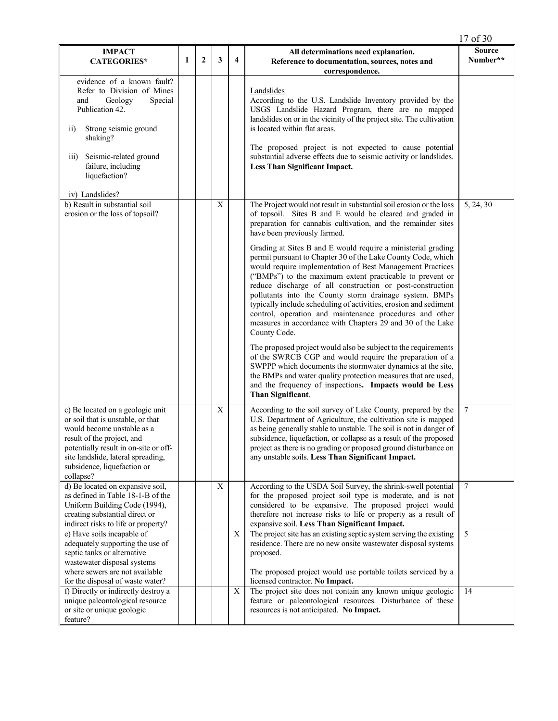| Г<br>L |  |
|--------|--|
|        |  |

|                                                                                                                                                                                                                                                                          |   |                  |                |                     |                                                                                                                                                                                                                                                                                                                                                                                                                                                                                                                                                                                           | 17 of 30           |
|--------------------------------------------------------------------------------------------------------------------------------------------------------------------------------------------------------------------------------------------------------------------------|---|------------------|----------------|---------------------|-------------------------------------------------------------------------------------------------------------------------------------------------------------------------------------------------------------------------------------------------------------------------------------------------------------------------------------------------------------------------------------------------------------------------------------------------------------------------------------------------------------------------------------------------------------------------------------------|--------------------|
| <b>IMPACT</b><br><b>CATEGORIES*</b>                                                                                                                                                                                                                                      | 1 | $\boldsymbol{2}$ | 3              | $\overline{\bf{4}}$ | All determinations need explanation.<br>Reference to documentation, sources, notes and<br>correspondence.                                                                                                                                                                                                                                                                                                                                                                                                                                                                                 | Source<br>Number** |
| evidence of a known fault?<br>Refer to Division of Mines<br>Geology<br>Special<br>and<br>Publication 42.<br>Strong seismic ground<br>$\overline{11}$<br>shaking?<br>Seismic-related ground<br>$\overline{111}$<br>failure, including<br>liquefaction?<br>iv) Landslides? |   |                  |                |                     | Landslides<br>According to the U.S. Landslide Inventory provided by the<br>USGS Landslide Hazard Program, there are no mapped<br>landslides on or in the vicinity of the project site. The cultivation<br>is located within flat areas.<br>The proposed project is not expected to cause potential<br>substantial adverse effects due to seismic activity or landslides.<br><b>Less Than Significant Impact.</b>                                                                                                                                                                          |                    |
| b) Result in substantial soil<br>erosion or the loss of topsoil?                                                                                                                                                                                                         |   |                  | $\overline{X}$ |                     | The Project would not result in substantial soil erosion or the loss<br>of topsoil. Sites B and E would be cleared and graded in<br>preparation for cannabis cultivation, and the remainder sites<br>have been previously farmed.                                                                                                                                                                                                                                                                                                                                                         | 5, 24, 30          |
|                                                                                                                                                                                                                                                                          |   |                  |                |                     | Grading at Sites B and E would require a ministerial grading<br>permit pursuant to Chapter 30 of the Lake County Code, which<br>would require implementation of Best Management Practices<br>("BMPs") to the maximum extent practicable to prevent or<br>reduce discharge of all construction or post-construction<br>pollutants into the County storm drainage system. BMPs<br>typically include scheduling of activities, erosion and sediment<br>control, operation and maintenance procedures and other<br>measures in accordance with Chapters 29 and 30 of the Lake<br>County Code. |                    |
|                                                                                                                                                                                                                                                                          |   |                  |                |                     | The proposed project would also be subject to the requirements<br>of the SWRCB CGP and would require the preparation of a<br>SWPPP which documents the stormwater dynamics at the site,<br>the BMPs and water quality protection measures that are used,<br>and the frequency of inspections. Impacts would be Less<br>Than Significant.                                                                                                                                                                                                                                                  |                    |
| c) Be located on a geologic unit<br>or soil that is unstable, or that<br>would become unstable as a<br>result of the project, and<br>potentially result in on-site or off-<br>site landslide, lateral spreading,<br>subsidence, liquefaction or<br>collapse?             |   |                  | $\overline{X}$ |                     | According to the soil survey of Lake County, prepared by the<br>U.S. Department of Agriculture, the cultivation site is mapped<br>as being generally stable to unstable. The soil is not in danger of<br>subsidence, liquefaction, or collapse as a result of the proposed<br>project as there is no grading or proposed ground disturbance on<br>any unstable soils. Less Than Significant Impact.                                                                                                                                                                                       | $\tau$             |
| d) Be located on expansive soil,<br>as defined in Table 18-1-B of the<br>Uniform Building Code (1994),<br>creating substantial direct or<br>indirect risks to life or property?                                                                                          |   |                  | $\mathbf X$    |                     | According to the USDA Soil Survey, the shrink-swell potential<br>for the proposed project soil type is moderate, and is not<br>considered to be expansive. The proposed project would<br>therefore not increase risks to life or property as a result of<br>expansive soil. Less Than Significant Impact.                                                                                                                                                                                                                                                                                 | $\tau$             |
| e) Have soils incapable of<br>adequately supporting the use of<br>septic tanks or alternative<br>wastewater disposal systems<br>where sewers are not available                                                                                                           |   |                  |                | X                   | The project site has an existing septic system serving the existing<br>residence. There are no new onsite wastewater disposal systems<br>proposed.<br>The proposed project would use portable toilets serviced by a                                                                                                                                                                                                                                                                                                                                                                       | 5                  |
| for the disposal of waste water?<br>f) Directly or indirectly destroy a<br>unique paleontological resource<br>or site or unique geologic<br>feature?                                                                                                                     |   |                  |                | X                   | licensed contractor. No Impact.<br>The project site does not contain any known unique geologic<br>feature or paleontological resources. Disturbance of these<br>resources is not anticipated. No Impact.                                                                                                                                                                                                                                                                                                                                                                                  | 14                 |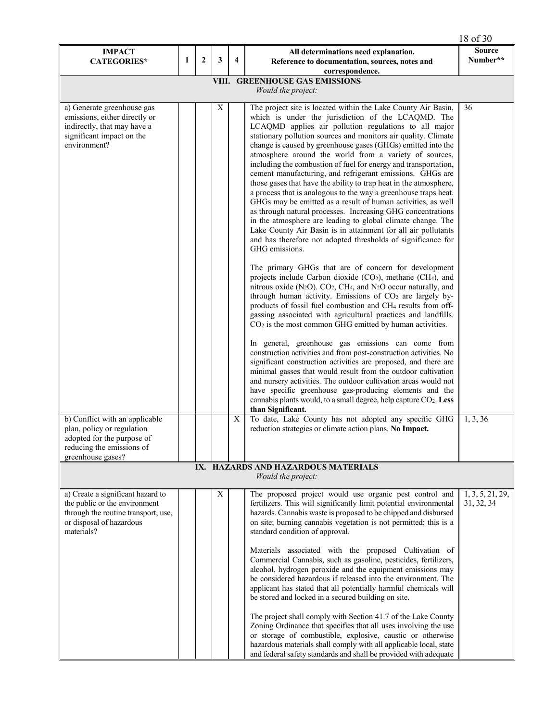|                                                                                                                                                                           |   |                  |   |                |                                                                                                                                                                                                                                                                                                                                                                                                                                                                                                                                                                                                                                                                                                                                                                                                                                                                                                                                                                                                                                                                                                                                                                                                                                                                                                                                                                                                                                                                                                                                                                                                                                                                                                                                                                                                                                                                                                                                                                                                                                                                          | 18 of 30                       |
|---------------------------------------------------------------------------------------------------------------------------------------------------------------------------|---|------------------|---|----------------|--------------------------------------------------------------------------------------------------------------------------------------------------------------------------------------------------------------------------------------------------------------------------------------------------------------------------------------------------------------------------------------------------------------------------------------------------------------------------------------------------------------------------------------------------------------------------------------------------------------------------------------------------------------------------------------------------------------------------------------------------------------------------------------------------------------------------------------------------------------------------------------------------------------------------------------------------------------------------------------------------------------------------------------------------------------------------------------------------------------------------------------------------------------------------------------------------------------------------------------------------------------------------------------------------------------------------------------------------------------------------------------------------------------------------------------------------------------------------------------------------------------------------------------------------------------------------------------------------------------------------------------------------------------------------------------------------------------------------------------------------------------------------------------------------------------------------------------------------------------------------------------------------------------------------------------------------------------------------------------------------------------------------------------------------------------------------|--------------------------------|
| <b>IMPACT</b><br><b>CATEGORIES*</b>                                                                                                                                       | 1 | $\boldsymbol{2}$ | 3 | $\overline{4}$ | All determinations need explanation.<br>Reference to documentation, sources, notes and                                                                                                                                                                                                                                                                                                                                                                                                                                                                                                                                                                                                                                                                                                                                                                                                                                                                                                                                                                                                                                                                                                                                                                                                                                                                                                                                                                                                                                                                                                                                                                                                                                                                                                                                                                                                                                                                                                                                                                                   | <b>Source</b><br>Number**      |
|                                                                                                                                                                           |   |                  |   |                | correspondence.<br>VIII. GREENHOUSE GAS EMISSIONS<br>Would the project:                                                                                                                                                                                                                                                                                                                                                                                                                                                                                                                                                                                                                                                                                                                                                                                                                                                                                                                                                                                                                                                                                                                                                                                                                                                                                                                                                                                                                                                                                                                                                                                                                                                                                                                                                                                                                                                                                                                                                                                                  |                                |
| a) Generate greenhouse gas<br>emissions, either directly or<br>indirectly, that may have a<br>significant impact on the<br>environment?<br>b) Conflict with an applicable |   |                  | X | X              | The project site is located within the Lake County Air Basin,<br>which is under the jurisdiction of the LCAQMD. The<br>LCAQMD applies air pollution regulations to all major<br>stationary pollution sources and monitors air quality. Climate<br>change is caused by greenhouse gases (GHGs) emitted into the<br>atmosphere around the world from a variety of sources,<br>including the combustion of fuel for energy and transportation,<br>cement manufacturing, and refrigerant emissions. GHGs are<br>those gases that have the ability to trap heat in the atmosphere,<br>a process that is analogous to the way a greenhouse traps heat.<br>GHGs may be emitted as a result of human activities, as well<br>as through natural processes. Increasing GHG concentrations<br>in the atmosphere are leading to global climate change. The<br>Lake County Air Basin is in attainment for all air pollutants<br>and has therefore not adopted thresholds of significance for<br>GHG emissions.<br>The primary GHGs that are of concern for development<br>projects include Carbon dioxide (CO2), methane (CH4), and<br>nitrous oxide (N <sub>2</sub> O). CO <sub>2</sub> , CH <sub>4</sub> , and N <sub>2</sub> O occur naturally, and<br>through human activity. Emissions of CO <sub>2</sub> are largely by-<br>products of fossil fuel combustion and CH4 results from off-<br>gassing associated with agricultural practices and landfills.<br>CO <sub>2</sub> is the most common GHG emitted by human activities.<br>In general, greenhouse gas emissions can come from<br>construction activities and from post-construction activities. No<br>significant construction activities are proposed, and there are<br>minimal gasses that would result from the outdoor cultivation<br>and nursery activities. The outdoor cultivation areas would not<br>have specific greenhouse gas-producing elements and the<br>cannabis plants would, to a small degree, help capture CO2. Less<br>than Significant.<br>To date, Lake County has not adopted any specific GHG | 36<br>1, 3, 36                 |
| plan, policy or regulation<br>adopted for the purpose of<br>reducing the emissions of                                                                                     |   |                  |   |                | reduction strategies or climate action plans. No Impact.                                                                                                                                                                                                                                                                                                                                                                                                                                                                                                                                                                                                                                                                                                                                                                                                                                                                                                                                                                                                                                                                                                                                                                                                                                                                                                                                                                                                                                                                                                                                                                                                                                                                                                                                                                                                                                                                                                                                                                                                                 |                                |
| greenhouse gases?                                                                                                                                                         |   |                  |   |                | IX. HAZARDS AND HAZARDOUS MATERIALS<br>Would the project:                                                                                                                                                                                                                                                                                                                                                                                                                                                                                                                                                                                                                                                                                                                                                                                                                                                                                                                                                                                                                                                                                                                                                                                                                                                                                                                                                                                                                                                                                                                                                                                                                                                                                                                                                                                                                                                                                                                                                                                                                |                                |
| a) Create a significant hazard to<br>the public or the environment<br>through the routine transport, use,<br>or disposal of hazardous<br>materials?                       |   |                  | Х |                | The proposed project would use organic pest control and<br>fertilizers. This will significantly limit potential environmental<br>hazards. Cannabis waste is proposed to be chipped and disbursed<br>on site; burning cannabis vegetation is not permitted; this is a<br>standard condition of approval.<br>Materials associated with the proposed Cultivation of<br>Commercial Cannabis, such as gasoline, pesticides, fertilizers,<br>alcohol, hydrogen peroxide and the equipment emissions may<br>be considered hazardous if released into the environment. The<br>applicant has stated that all potentially harmful chemicals will<br>be stored and locked in a secured building on site.<br>The project shall comply with Section 41.7 of the Lake County<br>Zoning Ordinance that specifies that all uses involving the use<br>or storage of combustible, explosive, caustic or otherwise<br>hazardous materials shall comply with all applicable local, state<br>and federal safety standards and shall be provided with adequate                                                                                                                                                                                                                                                                                                                                                                                                                                                                                                                                                                                                                                                                                                                                                                                                                                                                                                                                                                                                                                 | 1, 3, 5, 21, 29,<br>31, 32, 34 |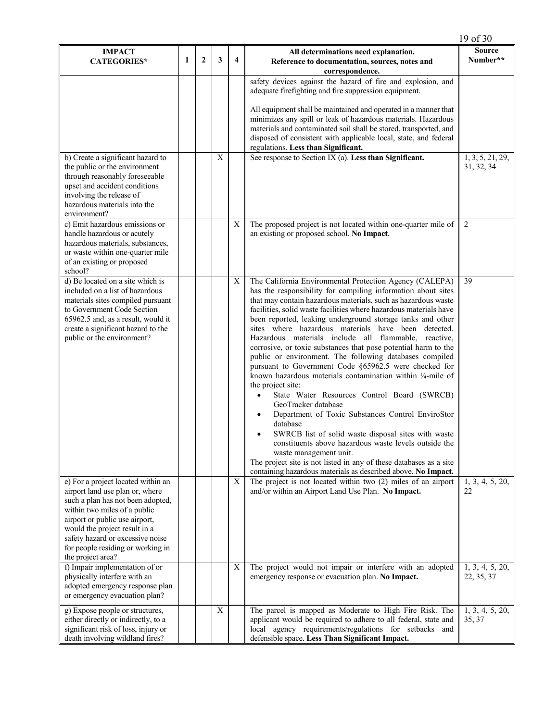| <b>IMPACT</b><br><b>CATEGORIES*</b>                                                                                                                                                                                                                                                                         | 1 | 2 | 3           | 4           | All determinations need explanation.<br>Reference to documentation, sources, notes and<br>correspondence.                                                                                                                                                                                                                                                                                                                                                                                                                                                                                                                                                                                                                                                                                                                                                                                                                                                                                                                                                                                                                                   | Source<br>Number**             |
|-------------------------------------------------------------------------------------------------------------------------------------------------------------------------------------------------------------------------------------------------------------------------------------------------------------|---|---|-------------|-------------|---------------------------------------------------------------------------------------------------------------------------------------------------------------------------------------------------------------------------------------------------------------------------------------------------------------------------------------------------------------------------------------------------------------------------------------------------------------------------------------------------------------------------------------------------------------------------------------------------------------------------------------------------------------------------------------------------------------------------------------------------------------------------------------------------------------------------------------------------------------------------------------------------------------------------------------------------------------------------------------------------------------------------------------------------------------------------------------------------------------------------------------------|--------------------------------|
|                                                                                                                                                                                                                                                                                                             |   |   |             |             | safety devices against the hazard of fire and explosion, and<br>adequate firefighting and fire suppression equipment.                                                                                                                                                                                                                                                                                                                                                                                                                                                                                                                                                                                                                                                                                                                                                                                                                                                                                                                                                                                                                       |                                |
|                                                                                                                                                                                                                                                                                                             |   |   |             |             | All equipment shall be maintained and operated in a manner that<br>minimizes any spill or leak of hazardous materials. Hazardous<br>materials and contaminated soil shall be stored, transported, and<br>disposed of consistent with applicable local, state, and federal<br>regulations. Less than Significant.                                                                                                                                                                                                                                                                                                                                                                                                                                                                                                                                                                                                                                                                                                                                                                                                                            |                                |
| b) Create a significant hazard to<br>the public or the environment<br>through reasonably foreseeable<br>upset and accident conditions<br>involving the release of<br>hazardous materials into the<br>environment?                                                                                           |   |   | $\mathbf X$ |             | See response to Section IX (a). Less than Significant.                                                                                                                                                                                                                                                                                                                                                                                                                                                                                                                                                                                                                                                                                                                                                                                                                                                                                                                                                                                                                                                                                      | 1, 3, 5, 21, 29,<br>31, 32, 34 |
| c) Emit hazardous emissions or<br>handle hazardous or acutely<br>hazardous materials, substances,<br>or waste within one-quarter mile<br>of an existing or proposed<br>school?                                                                                                                              |   |   |             | X           | The proposed project is not located within one-quarter mile of<br>an existing or proposed school. No Impact.                                                                                                                                                                                                                                                                                                                                                                                                                                                                                                                                                                                                                                                                                                                                                                                                                                                                                                                                                                                                                                | 2                              |
| d) Be located on a site which is<br>included on a list of hazardous<br>materials sites compiled pursuant<br>to Government Code Section<br>65962.5 and, as a result, would it<br>create a significant hazard to the<br>public or the environment?                                                            |   |   |             | X           | The California Environmental Protection Agency (CALEPA)<br>has the responsibility for compiling information about sites<br>that may contain hazardous materials, such as hazardous waste<br>facilities, solid waste facilities where hazardous materials have<br>been reported, leaking underground storage tanks and other<br>sites where hazardous materials have been detected.<br>Hazardous materials include all flammable, reactive,<br>corrosive, or toxic substances that pose potential harm to the<br>public or environment. The following databases compiled<br>pursuant to Government Code §65962.5 were checked for<br>known hazardous materials contamination within 1/4-mile of<br>the project site:<br>State Water Resources Control Board (SWRCB)<br>GeoTracker database<br>Department of Toxic Substances Control EnviroStor<br>database<br>SWRCB list of solid waste disposal sites with waste<br>constituents above hazardous waste levels outside the<br>waste management unit.<br>The project site is not listed in any of these databases as a site<br>containing hazardous materials as described above. No Impact. | 39                             |
| e) For a project located within an<br>airport land use plan or, where<br>such a plan has not been adopted,<br>within two miles of a public<br>airport or public use airport,<br>would the project result in a<br>safety hazard or excessive noise<br>for people residing or working in<br>the project area? |   |   |             | $\mathbf X$ | The project is not located within two (2) miles of an airport<br>and/or within an Airport Land Use Plan. No Impact.                                                                                                                                                                                                                                                                                                                                                                                                                                                                                                                                                                                                                                                                                                                                                                                                                                                                                                                                                                                                                         | 1, 3, 4, 5, 20,<br>22          |
| f) Impair implementation of or<br>physically interfere with an<br>adopted emergency response plan<br>or emergency evacuation plan?                                                                                                                                                                          |   |   |             | X           | The project would not impair or interfere with an adopted<br>emergency response or evacuation plan. No Impact.                                                                                                                                                                                                                                                                                                                                                                                                                                                                                                                                                                                                                                                                                                                                                                                                                                                                                                                                                                                                                              | 1, 3, 4, 5, 20,<br>22, 35, 37  |
| g) Expose people or structures,<br>either directly or indirectly, to a<br>significant risk of loss, injury or<br>death involving wildland fires?                                                                                                                                                            |   |   | $\mathbf X$ |             | The parcel is mapped as Moderate to High Fire Risk. The<br>applicant would be required to adhere to all federal, state and<br>local agency requirements/regulations for setbacks and<br>defensible space. Less Than Significant Impact.                                                                                                                                                                                                                                                                                                                                                                                                                                                                                                                                                                                                                                                                                                                                                                                                                                                                                                     | 1, 3, 4, 5, 20,<br>35, 37      |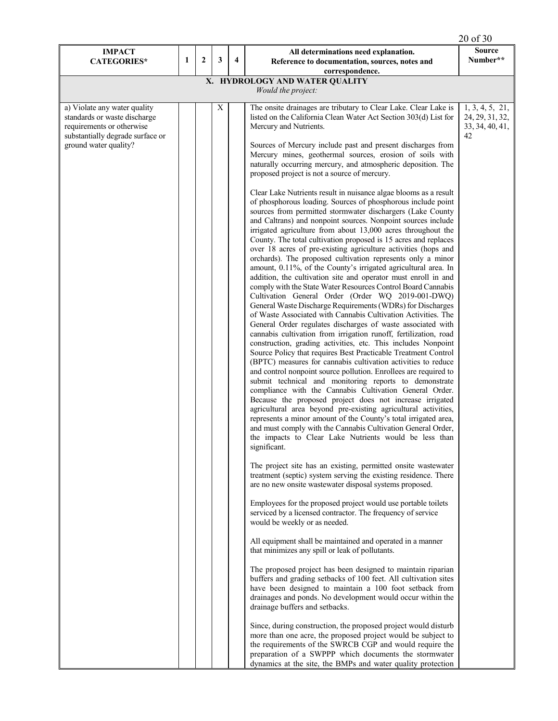| <b>Source</b><br><b>IMPACT</b><br>All determinations need explanation.<br>3<br>1<br>$\boldsymbol{2}$<br>$\overline{\bf{4}}$<br>Number**<br><b>CATEGORIES*</b><br>Reference to documentation, sources, notes and<br>correspondence.<br>X. HYDROLOGY AND WATER QUALITY<br>Would the project:<br>a) Violate any water quality<br>The onsite drainages are tributary to Clear Lake. Clear Lake is<br>1, 3, 4, 5, 21,<br>Χ<br>standards or waste discharge<br>listed on the California Clean Water Act Section 303(d) List for<br>24, 29, 31, 32,<br>requirements or otherwise<br>Mercury and Nutrients.<br>33, 34, 40, 41,<br>substantially degrade surface or<br>42<br>ground water quality?<br>Sources of Mercury include past and present discharges from<br>Mercury mines, geothermal sources, erosion of soils with<br>naturally occurring mercury, and atmospheric deposition. The<br>proposed project is not a source of mercury.<br>Clear Lake Nutrients result in nuisance algae blooms as a result<br>of phosphorous loading. Sources of phosphorous include point<br>sources from permitted stormwater dischargers (Lake County<br>and Caltrans) and nonpoint sources. Nonpoint sources include<br>irrigated agriculture from about 13,000 acres throughout the<br>County. The total cultivation proposed is 15 acres and replaces<br>over 18 acres of pre-existing agriculture activities (hops and<br>orchards). The proposed cultivation represents only a minor<br>amount, 0.11%, of the County's irrigated agricultural area. In<br>addition, the cultivation site and operator must enroll in and<br>comply with the State Water Resources Control Board Cannabis<br>Cultivation General Order (Order WQ 2019-001-DWQ)<br>General Waste Discharge Requirements (WDRs) for Discharges<br>of Waste Associated with Cannabis Cultivation Activities. The<br>General Order regulates discharges of waste associated with<br>cannabis cultivation from irrigation runoff, fertilization, road<br>construction, grading activities, etc. This includes Nonpoint<br>Source Policy that requires Best Practicable Treatment Control<br>(BPTC) measures for cannabis cultivation activities to reduce<br>and control nonpoint source pollution. Enrollees are required to<br>submit technical and monitoring reports to demonstrate<br>compliance with the Cannabis Cultivation General Order.<br>Because the proposed project does not increase irrigated<br>agricultural area beyond pre-existing agricultural activities,<br>represents a minor amount of the County's total irrigated area,<br>and must comply with the Cannabis Cultivation General Order,<br>the impacts to Clear Lake Nutrients would be less than<br>significant.<br>The project site has an existing, permitted onsite wastewater<br>treatment (septic) system serving the existing residence. There<br>are no new onsite wastewater disposal systems proposed.<br>Employees for the proposed project would use portable toilets<br>serviced by a licensed contractor. The frequency of service<br>would be weekly or as needed.<br>All equipment shall be maintained and operated in a manner<br>that minimizes any spill or leak of pollutants.<br>The proposed project has been designed to maintain riparian |  |  |                                                                 | 20 of 30 |
|-----------------------------------------------------------------------------------------------------------------------------------------------------------------------------------------------------------------------------------------------------------------------------------------------------------------------------------------------------------------------------------------------------------------------------------------------------------------------------------------------------------------------------------------------------------------------------------------------------------------------------------------------------------------------------------------------------------------------------------------------------------------------------------------------------------------------------------------------------------------------------------------------------------------------------------------------------------------------------------------------------------------------------------------------------------------------------------------------------------------------------------------------------------------------------------------------------------------------------------------------------------------------------------------------------------------------------------------------------------------------------------------------------------------------------------------------------------------------------------------------------------------------------------------------------------------------------------------------------------------------------------------------------------------------------------------------------------------------------------------------------------------------------------------------------------------------------------------------------------------------------------------------------------------------------------------------------------------------------------------------------------------------------------------------------------------------------------------------------------------------------------------------------------------------------------------------------------------------------------------------------------------------------------------------------------------------------------------------------------------------------------------------------------------------------------------------------------------------------------------------------------------------------------------------------------------------------------------------------------------------------------------------------------------------------------------------------------------------------------------------------------------------------------------------------------------------------------------------------------------------------------------------------------------------------------------------------------------------------------------------------------------------------------------------------------------------------------------------------------------------------------------------------------------------------------------------------------------------------------------------------------------------------------------------|--|--|-----------------------------------------------------------------|----------|
|                                                                                                                                                                                                                                                                                                                                                                                                                                                                                                                                                                                                                                                                                                                                                                                                                                                                                                                                                                                                                                                                                                                                                                                                                                                                                                                                                                                                                                                                                                                                                                                                                                                                                                                                                                                                                                                                                                                                                                                                                                                                                                                                                                                                                                                                                                                                                                                                                                                                                                                                                                                                                                                                                                                                                                                                                                                                                                                                                                                                                                                                                                                                                                                                                                                                                               |  |  |                                                                 |          |
|                                                                                                                                                                                                                                                                                                                                                                                                                                                                                                                                                                                                                                                                                                                                                                                                                                                                                                                                                                                                                                                                                                                                                                                                                                                                                                                                                                                                                                                                                                                                                                                                                                                                                                                                                                                                                                                                                                                                                                                                                                                                                                                                                                                                                                                                                                                                                                                                                                                                                                                                                                                                                                                                                                                                                                                                                                                                                                                                                                                                                                                                                                                                                                                                                                                                                               |  |  |                                                                 |          |
| have been designed to maintain a 100 foot setback from<br>drainages and ponds. No development would occur within the<br>drainage buffers and setbacks.<br>Since, during construction, the proposed project would disturb                                                                                                                                                                                                                                                                                                                                                                                                                                                                                                                                                                                                                                                                                                                                                                                                                                                                                                                                                                                                                                                                                                                                                                                                                                                                                                                                                                                                                                                                                                                                                                                                                                                                                                                                                                                                                                                                                                                                                                                                                                                                                                                                                                                                                                                                                                                                                                                                                                                                                                                                                                                                                                                                                                                                                                                                                                                                                                                                                                                                                                                                      |  |  | buffers and grading setbacks of 100 feet. All cultivation sites |          |
| more than one acre, the proposed project would be subject to<br>the requirements of the SWRCB CGP and would require the<br>preparation of a SWPPP which documents the stormwater<br>dynamics at the site, the BMPs and water quality protection                                                                                                                                                                                                                                                                                                                                                                                                                                                                                                                                                                                                                                                                                                                                                                                                                                                                                                                                                                                                                                                                                                                                                                                                                                                                                                                                                                                                                                                                                                                                                                                                                                                                                                                                                                                                                                                                                                                                                                                                                                                                                                                                                                                                                                                                                                                                                                                                                                                                                                                                                                                                                                                                                                                                                                                                                                                                                                                                                                                                                                               |  |  |                                                                 |          |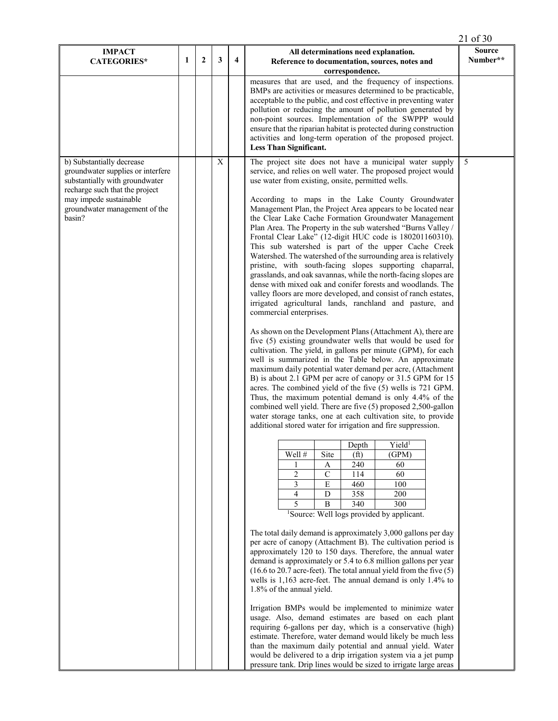| <b>IMPACT</b><br><b>CATEGORIES*</b>                                                                                                                                                                     | 1 | 2 | 3           | $\overline{4}$ | All determinations need explanation.<br>Reference to documentation, sources, notes and<br>correspondence.                                                                                                                                                                                                                                                                                                                                                                                                                                                                                                                                                                                                                                                                                                                                                                                                                                                                                                                                                                                                                                                                                                                                                                                                                                                                                                                                                                                                                                                                                                                                                                                                                                                                                                                                                                                                                                                                                                                                                                                                                                                                                                                                                                                                                                                                                                                                                                                                                                                                                                                                                                                                                                                                                           | <b>Source</b><br>Number** |
|---------------------------------------------------------------------------------------------------------------------------------------------------------------------------------------------------------|---|---|-------------|----------------|-----------------------------------------------------------------------------------------------------------------------------------------------------------------------------------------------------------------------------------------------------------------------------------------------------------------------------------------------------------------------------------------------------------------------------------------------------------------------------------------------------------------------------------------------------------------------------------------------------------------------------------------------------------------------------------------------------------------------------------------------------------------------------------------------------------------------------------------------------------------------------------------------------------------------------------------------------------------------------------------------------------------------------------------------------------------------------------------------------------------------------------------------------------------------------------------------------------------------------------------------------------------------------------------------------------------------------------------------------------------------------------------------------------------------------------------------------------------------------------------------------------------------------------------------------------------------------------------------------------------------------------------------------------------------------------------------------------------------------------------------------------------------------------------------------------------------------------------------------------------------------------------------------------------------------------------------------------------------------------------------------------------------------------------------------------------------------------------------------------------------------------------------------------------------------------------------------------------------------------------------------------------------------------------------------------------------------------------------------------------------------------------------------------------------------------------------------------------------------------------------------------------------------------------------------------------------------------------------------------------------------------------------------------------------------------------------------------------------------------------------------------------------------------------------------|---------------------------|
|                                                                                                                                                                                                         |   |   |             |                | measures that are used, and the frequency of inspections.<br>BMPs are activities or measures determined to be practicable,<br>acceptable to the public, and cost effective in preventing water<br>pollution or reducing the amount of pollution generated by<br>non-point sources. Implementation of the SWPPP would<br>ensure that the riparian habitat is protected during construction<br>activities and long-term operation of the proposed project.<br><b>Less Than Significant.</b>                                                                                                                                                                                                                                                                                                                                                                                                                                                                                                                                                                                                                                                                                                                                                                                                                                                                                                                                                                                                                                                                                                                                                                                                                                                                                                                                                                                                                                                                                                                                                                                                                                                                                                                                                                                                                                                                                                                                                                                                                                                                                                                                                                                                                                                                                                           |                           |
| b) Substantially decrease<br>groundwater supplies or interfere<br>substantially with groundwater<br>recharge such that the project<br>may impede sustainable<br>groundwater management of the<br>basin? |   |   | $\mathbf X$ |                | The project site does not have a municipal water supply<br>service, and relies on well water. The proposed project would<br>use water from existing, onsite, permitted wells.<br>According to maps in the Lake County Groundwater<br>Management Plan, the Project Area appears to be located near<br>the Clear Lake Cache Formation Groundwater Management<br>Plan Area. The Property in the sub watershed "Burns Valley /<br>Frontal Clear Lake" (12-digit HUC code is 180201160310).<br>This sub watershed is part of the upper Cache Creek<br>Watershed. The watershed of the surrounding area is relatively<br>pristine, with south-facing slopes supporting chaparral,<br>grasslands, and oak savannas, while the north-facing slopes are<br>dense with mixed oak and conifer forests and woodlands. The<br>valley floors are more developed, and consist of ranch estates,<br>irrigated agricultural lands, ranchland and pasture, and<br>commercial enterprises.<br>As shown on the Development Plans (Attachment A), there are<br>five (5) existing groundwater wells that would be used for<br>cultivation. The yield, in gallons per minute (GPM), for each<br>well is summarized in the Table below. An approximate<br>maximum daily potential water demand per acre, (Attachment<br>B) is about 2.1 GPM per acre of canopy or 31.5 GPM for 15<br>acres. The combined yield of the five (5) wells is 721 GPM.<br>Thus, the maximum potential demand is only 4.4% of the<br>combined well yield. There are five (5) proposed 2,500-gallon<br>water storage tanks, one at each cultivation site, to provide<br>additional stored water for irrigation and fire suppression.<br>Yield <sup>1</sup><br>Depth<br>Well #<br>Site<br>(f <sup>t</sup> )<br>(GPM)<br>240<br>60<br>1<br>A<br>2<br>$\mathbf C$<br>114<br>60<br>3<br>460<br>E<br>100<br>358<br>4<br>D<br>200<br>5<br>B<br>340<br>300<br><sup>1</sup> Source: Well logs provided by applicant.<br>The total daily demand is approximately 3,000 gallons per day<br>per acre of canopy (Attachment B). The cultivation period is<br>approximately 120 to 150 days. Therefore, the annual water<br>demand is approximately or 5.4 to 6.8 million gallons per year<br>$(16.6 \text{ to } 20.7 \text{ acre-feet})$ . The total annual yield from the five $(5)$<br>wells is 1,163 acre-feet. The annual demand is only 1.4% to<br>1.8% of the annual yield.<br>Irrigation BMPs would be implemented to minimize water<br>usage. Also, demand estimates are based on each plant<br>requiring 6-gallons per day, which is a conservative (high)<br>estimate. Therefore, water demand would likely be much less<br>than the maximum daily potential and annual yield. Water<br>would be delivered to a drip irrigation system via a jet pump | 5                         |
|                                                                                                                                                                                                         |   |   |             |                | pressure tank. Drip lines would be sized to irrigate large areas                                                                                                                                                                                                                                                                                                                                                                                                                                                                                                                                                                                                                                                                                                                                                                                                                                                                                                                                                                                                                                                                                                                                                                                                                                                                                                                                                                                                                                                                                                                                                                                                                                                                                                                                                                                                                                                                                                                                                                                                                                                                                                                                                                                                                                                                                                                                                                                                                                                                                                                                                                                                                                                                                                                                    |                           |

21 of 30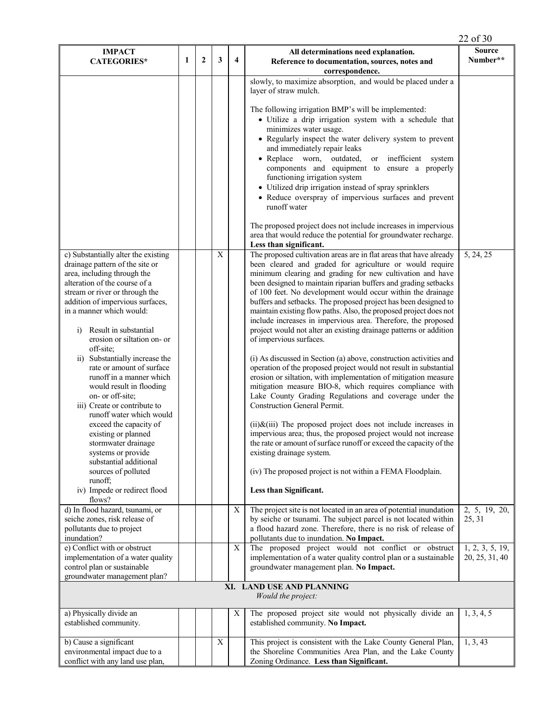| <b>IMPACT</b><br><b>CATEGORIES*</b>                                                                                                                                                                                                                                                                                                                                                                                                                                                                                                                                                                                                                                                                                                      | 1 | $\mathbf{2}$ | 3                         | $\overline{\mathbf{4}}$ | All determinations need explanation.<br>Reference to documentation, sources, notes and<br>correspondence.                                                                                                                                                                                                                                                                                                                                                                                                                                                                                                                                                                                                                                                                                                                                                                                                                                                                                                                                                                                                                                                                                                                                                                                                                                                                                                                                                                                                                                                                                                                                                                                                                                                                                                                                                                                                                                                                                                                                                                                                                        | <b>Source</b><br>Number**         |
|------------------------------------------------------------------------------------------------------------------------------------------------------------------------------------------------------------------------------------------------------------------------------------------------------------------------------------------------------------------------------------------------------------------------------------------------------------------------------------------------------------------------------------------------------------------------------------------------------------------------------------------------------------------------------------------------------------------------------------------|---|--------------|---------------------------|-------------------------|----------------------------------------------------------------------------------------------------------------------------------------------------------------------------------------------------------------------------------------------------------------------------------------------------------------------------------------------------------------------------------------------------------------------------------------------------------------------------------------------------------------------------------------------------------------------------------------------------------------------------------------------------------------------------------------------------------------------------------------------------------------------------------------------------------------------------------------------------------------------------------------------------------------------------------------------------------------------------------------------------------------------------------------------------------------------------------------------------------------------------------------------------------------------------------------------------------------------------------------------------------------------------------------------------------------------------------------------------------------------------------------------------------------------------------------------------------------------------------------------------------------------------------------------------------------------------------------------------------------------------------------------------------------------------------------------------------------------------------------------------------------------------------------------------------------------------------------------------------------------------------------------------------------------------------------------------------------------------------------------------------------------------------------------------------------------------------------------------------------------------------|-----------------------------------|
| c) Substantially alter the existing<br>drainage pattern of the site or<br>area, including through the<br>alteration of the course of a<br>stream or river or through the<br>addition of impervious surfaces,<br>in a manner which would:<br>Result in substantial<br>$\mathbf{i}$<br>erosion or siltation on- or<br>off-site;<br>ii) Substantially increase the<br>rate or amount of surface<br>runoff in a manner which<br>would result in flooding<br>on- or off-site;<br>iii) Create or contribute to<br>runoff water which would<br>exceed the capacity of<br>existing or planned<br>stormwater drainage<br>systems or provide<br>substantial additional<br>sources of polluted<br>runoff;<br>iv) Impede or redirect flood<br>flows? |   |              | $\mathbf X$               |                         | slowly, to maximize absorption, and would be placed under a<br>layer of straw mulch.<br>The following irrigation BMP's will be implemented:<br>· Utilize a drip irrigation system with a schedule that<br>minimizes water usage.<br>• Regularly inspect the water delivery system to prevent<br>and immediately repair leaks<br>· Replace worn, outdated,<br>or inefficient<br>system<br>components and equipment to ensure a properly<br>functioning irrigation system<br>• Utilized drip irrigation instead of spray sprinklers<br>• Reduce overspray of impervious surfaces and prevent<br>runoff water<br>The proposed project does not include increases in impervious<br>area that would reduce the potential for groundwater recharge.<br>Less than significant.<br>The proposed cultivation areas are in flat areas that have already<br>been cleared and graded for agriculture or would require<br>minimum clearing and grading for new cultivation and have<br>been designed to maintain riparian buffers and grading setbacks<br>of 100 feet. No development would occur within the drainage<br>buffers and setbacks. The proposed project has been designed to<br>maintain existing flow paths. Also, the proposed project does not<br>include increases in impervious area. Therefore, the proposed<br>project would not alter an existing drainage patterns or addition<br>of impervious surfaces.<br>(i) As discussed in Section (a) above, construction activities and<br>operation of the proposed project would not result in substantial<br>erosion or siltation, with implementation of mitigation measure<br>mitigation measure BIO-8, which requires compliance with<br>Lake County Grading Regulations and coverage under the<br><b>Construction General Permit.</b><br>$(ii)$ & $(iii)$ The proposed project does not include increases in<br>impervious area; thus, the proposed project would not increase<br>the rate or amount of surface runoff or exceed the capacity of the<br>existing drainage system.<br>(iv) The proposed project is not within a FEMA Floodplain.<br>Less than Significant. | 5, 24, 25                         |
| d) In flood hazard, tsunami, or<br>seiche zones, risk release of<br>pollutants due to project<br>inundation?                                                                                                                                                                                                                                                                                                                                                                                                                                                                                                                                                                                                                             |   |              |                           | X                       | The project site is not located in an area of potential inundation<br>by seiche or tsunami. The subject parcel is not located within<br>a flood hazard zone. Therefore, there is no risk of release of<br>pollutants due to inundation. No Impact.                                                                                                                                                                                                                                                                                                                                                                                                                                                                                                                                                                                                                                                                                                                                                                                                                                                                                                                                                                                                                                                                                                                                                                                                                                                                                                                                                                                                                                                                                                                                                                                                                                                                                                                                                                                                                                                                               | 2, 5, 19, 20,<br>25, 31           |
| e) Conflict with or obstruct<br>implementation of a water quality<br>control plan or sustainable<br>groundwater management plan?                                                                                                                                                                                                                                                                                                                                                                                                                                                                                                                                                                                                         |   |              |                           | X                       | The proposed project would not conflict or obstruct<br>implementation of a water quality control plan or a sustainable<br>groundwater management plan. No Impact.                                                                                                                                                                                                                                                                                                                                                                                                                                                                                                                                                                                                                                                                                                                                                                                                                                                                                                                                                                                                                                                                                                                                                                                                                                                                                                                                                                                                                                                                                                                                                                                                                                                                                                                                                                                                                                                                                                                                                                | 1, 2, 3, 5, 19,<br>20, 25, 31, 40 |
|                                                                                                                                                                                                                                                                                                                                                                                                                                                                                                                                                                                                                                                                                                                                          |   |              |                           |                         | XI. LAND USE AND PLANNING<br>Would the project:                                                                                                                                                                                                                                                                                                                                                                                                                                                                                                                                                                                                                                                                                                                                                                                                                                                                                                                                                                                                                                                                                                                                                                                                                                                                                                                                                                                                                                                                                                                                                                                                                                                                                                                                                                                                                                                                                                                                                                                                                                                                                  |                                   |
| a) Physically divide an<br>established community.                                                                                                                                                                                                                                                                                                                                                                                                                                                                                                                                                                                                                                                                                        |   |              |                           | X                       | The proposed project site would not physically divide an<br>established community. No Impact.                                                                                                                                                                                                                                                                                                                                                                                                                                                                                                                                                                                                                                                                                                                                                                                                                                                                                                                                                                                                                                                                                                                                                                                                                                                                                                                                                                                                                                                                                                                                                                                                                                                                                                                                                                                                                                                                                                                                                                                                                                    | 1, 3, 4, 5                        |
| b) Cause a significant<br>environmental impact due to a<br>conflict with any land use plan,                                                                                                                                                                                                                                                                                                                                                                                                                                                                                                                                                                                                                                              |   |              | $\boldsymbol{\mathrm{X}}$ |                         | This project is consistent with the Lake County General Plan,<br>the Shoreline Communities Area Plan, and the Lake County<br>Zoning Ordinance. Less than Significant.                                                                                                                                                                                                                                                                                                                                                                                                                                                                                                                                                                                                                                                                                                                                                                                                                                                                                                                                                                                                                                                                                                                                                                                                                                                                                                                                                                                                                                                                                                                                                                                                                                                                                                                                                                                                                                                                                                                                                            | 1, 3, 43                          |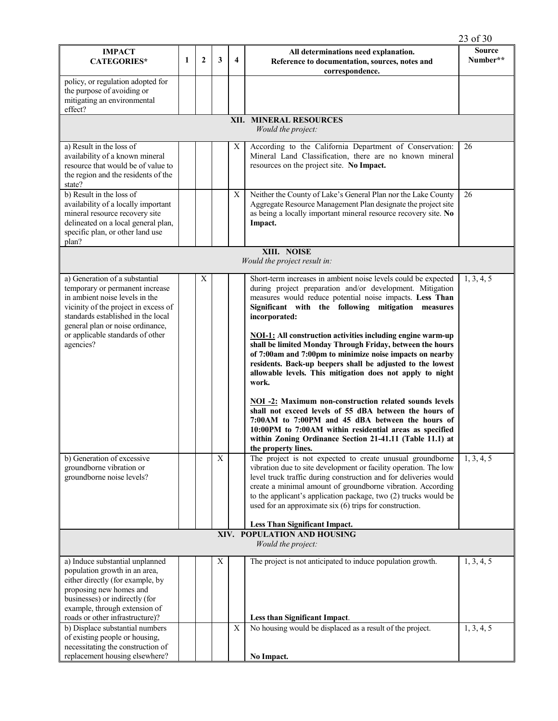| 1 | $\mathbf{2}$ | 3           | 4 | All determinations need explanation.<br>Reference to documentation, sources, notes and                                                                                                                                                                                                                                                                                                                                                                                                                                                                                                                                                                                                                                                                                                                                                                                                                                                                                                                                                                                                                                                                                                                                                                                                                                                   | <b>Source</b><br>Number**                                                                                                                                                                                                                                      |
|---|--------------|-------------|---|------------------------------------------------------------------------------------------------------------------------------------------------------------------------------------------------------------------------------------------------------------------------------------------------------------------------------------------------------------------------------------------------------------------------------------------------------------------------------------------------------------------------------------------------------------------------------------------------------------------------------------------------------------------------------------------------------------------------------------------------------------------------------------------------------------------------------------------------------------------------------------------------------------------------------------------------------------------------------------------------------------------------------------------------------------------------------------------------------------------------------------------------------------------------------------------------------------------------------------------------------------------------------------------------------------------------------------------|----------------------------------------------------------------------------------------------------------------------------------------------------------------------------------------------------------------------------------------------------------------|
|   |              |             |   |                                                                                                                                                                                                                                                                                                                                                                                                                                                                                                                                                                                                                                                                                                                                                                                                                                                                                                                                                                                                                                                                                                                                                                                                                                                                                                                                          |                                                                                                                                                                                                                                                                |
|   |              |             |   | Would the project:                                                                                                                                                                                                                                                                                                                                                                                                                                                                                                                                                                                                                                                                                                                                                                                                                                                                                                                                                                                                                                                                                                                                                                                                                                                                                                                       |                                                                                                                                                                                                                                                                |
|   |              |             | Х | According to the California Department of Conservation:<br>Mineral Land Classification, there are no known mineral<br>resources on the project site. No Impact.                                                                                                                                                                                                                                                                                                                                                                                                                                                                                                                                                                                                                                                                                                                                                                                                                                                                                                                                                                                                                                                                                                                                                                          | 26                                                                                                                                                                                                                                                             |
|   |              |             | X | Neither the County of Lake's General Plan nor the Lake County<br>Aggregate Resource Management Plan designate the project site<br>as being a locally important mineral resource recovery site. No<br>Impact.                                                                                                                                                                                                                                                                                                                                                                                                                                                                                                                                                                                                                                                                                                                                                                                                                                                                                                                                                                                                                                                                                                                             | 26                                                                                                                                                                                                                                                             |
|   |              |             |   | XIII. NOISE                                                                                                                                                                                                                                                                                                                                                                                                                                                                                                                                                                                                                                                                                                                                                                                                                                                                                                                                                                                                                                                                                                                                                                                                                                                                                                                              |                                                                                                                                                                                                                                                                |
|   | $\mathbf X$  | $\mathbf X$ |   | Short-term increases in ambient noise levels could be expected<br>during project preparation and/or development. Mitigation<br>measures would reduce potential noise impacts. Less Than<br>Significant with the following mitigation<br>measures<br>incorporated:<br><b>NOI-1:</b> All construction activities including engine warm-up<br>shall be limited Monday Through Friday, between the hours<br>of 7:00am and 7:00pm to minimize noise impacts on nearby<br>residents. Back-up beepers shall be adjusted to the lowest<br>allowable levels. This mitigation does not apply to night<br>work.<br><b>NOI -2: Maximum non-construction related sounds levels</b><br>shall not exceed levels of 55 dBA between the hours of<br>7:00AM to 7:00PM and 45 dBA between the hours of<br>10:00PM to 7:00AM within residential areas as specified<br>within Zoning Ordinance Section 21-41.11 (Table 11.1) at<br>the property lines.<br>The project is not expected to create unusual groundborne<br>vibration due to site development or facility operation. The low<br>level truck traffic during construction and for deliveries would<br>create a minimal amount of groundborne vibration. According<br>to the applicant's application package, two (2) trucks would be<br>used for an approximate $s$ ix $(6)$ trips for construction. | 1, 3, 4, 5<br>1, 3, 4, 5                                                                                                                                                                                                                                       |
|   |              |             |   |                                                                                                                                                                                                                                                                                                                                                                                                                                                                                                                                                                                                                                                                                                                                                                                                                                                                                                                                                                                                                                                                                                                                                                                                                                                                                                                                          |                                                                                                                                                                                                                                                                |
|   |              |             |   | Would the project:                                                                                                                                                                                                                                                                                                                                                                                                                                                                                                                                                                                                                                                                                                                                                                                                                                                                                                                                                                                                                                                                                                                                                                                                                                                                                                                       |                                                                                                                                                                                                                                                                |
|   |              | X           |   |                                                                                                                                                                                                                                                                                                                                                                                                                                                                                                                                                                                                                                                                                                                                                                                                                                                                                                                                                                                                                                                                                                                                                                                                                                                                                                                                          | 1, 3, 4, 5                                                                                                                                                                                                                                                     |
|   |              |             | X | No housing would be displaced as a result of the project.                                                                                                                                                                                                                                                                                                                                                                                                                                                                                                                                                                                                                                                                                                                                                                                                                                                                                                                                                                                                                                                                                                                                                                                                                                                                                | 1, 3, 4, 5                                                                                                                                                                                                                                                     |
|   |              |             |   |                                                                                                                                                                                                                                                                                                                                                                                                                                                                                                                                                                                                                                                                                                                                                                                                                                                                                                                                                                                                                                                                                                                                                                                                                                                                                                                                          |                                                                                                                                                                                                                                                                |
|   |              |             |   |                                                                                                                                                                                                                                                                                                                                                                                                                                                                                                                                                                                                                                                                                                                                                                                                                                                                                                                                                                                                                                                                                                                                                                                                                                                                                                                                          | correspondence.<br>XII. MINERAL RESOURCES<br>Would the project result in:<br><b>Less Than Significant Impact.</b><br>XIV. POPULATION AND HOUSING<br>The project is not anticipated to induce population growth.<br>Less than Significant Impact.<br>No Impact. |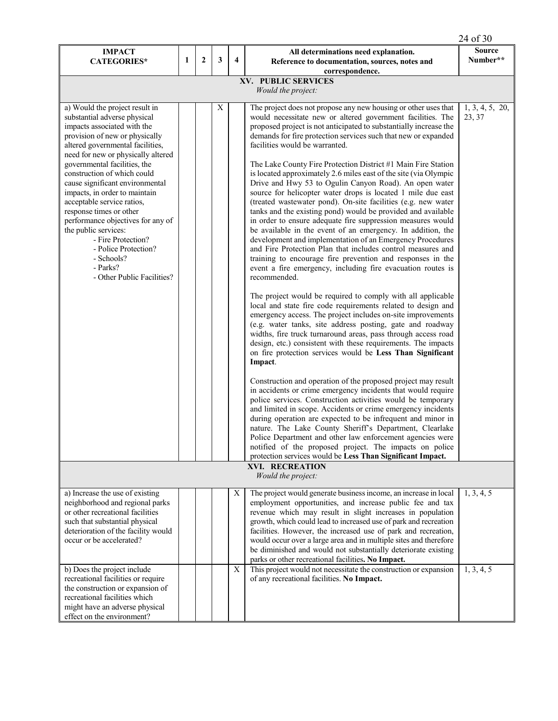|                                                                                                                                                                                                                                                                                                                                                                                                                                                                                                                                                                          |   |                  |   |                     |                                                                                                                                                                                                                                                                                                                                                                                                                                                                                                                                                                                                                                                                                                                                                                                                                                                                                                                                                                                                                                                                                                                                                                                                                                                                                                                                                                                                                                                                                                                                                                                                                                                                                                                                                                                                                                                                                                                                                                                                                                                                                                                                                                      | 24 of 30                  |  |  |  |  |  |  |
|--------------------------------------------------------------------------------------------------------------------------------------------------------------------------------------------------------------------------------------------------------------------------------------------------------------------------------------------------------------------------------------------------------------------------------------------------------------------------------------------------------------------------------------------------------------------------|---|------------------|---|---------------------|----------------------------------------------------------------------------------------------------------------------------------------------------------------------------------------------------------------------------------------------------------------------------------------------------------------------------------------------------------------------------------------------------------------------------------------------------------------------------------------------------------------------------------------------------------------------------------------------------------------------------------------------------------------------------------------------------------------------------------------------------------------------------------------------------------------------------------------------------------------------------------------------------------------------------------------------------------------------------------------------------------------------------------------------------------------------------------------------------------------------------------------------------------------------------------------------------------------------------------------------------------------------------------------------------------------------------------------------------------------------------------------------------------------------------------------------------------------------------------------------------------------------------------------------------------------------------------------------------------------------------------------------------------------------------------------------------------------------------------------------------------------------------------------------------------------------------------------------------------------------------------------------------------------------------------------------------------------------------------------------------------------------------------------------------------------------------------------------------------------------------------------------------------------------|---------------------------|--|--|--|--|--|--|
| <b>IMPACT</b><br><b>CATEGORIES*</b>                                                                                                                                                                                                                                                                                                                                                                                                                                                                                                                                      | 1 | $\boldsymbol{2}$ | 3 | $\overline{\bf{4}}$ | All determinations need explanation.<br>Reference to documentation, sources, notes and<br>correspondence.                                                                                                                                                                                                                                                                                                                                                                                                                                                                                                                                                                                                                                                                                                                                                                                                                                                                                                                                                                                                                                                                                                                                                                                                                                                                                                                                                                                                                                                                                                                                                                                                                                                                                                                                                                                                                                                                                                                                                                                                                                                            | <b>Source</b><br>Number** |  |  |  |  |  |  |
| XV. PUBLIC SERVICES<br>Would the project:                                                                                                                                                                                                                                                                                                                                                                                                                                                                                                                                |   |                  |   |                     |                                                                                                                                                                                                                                                                                                                                                                                                                                                                                                                                                                                                                                                                                                                                                                                                                                                                                                                                                                                                                                                                                                                                                                                                                                                                                                                                                                                                                                                                                                                                                                                                                                                                                                                                                                                                                                                                                                                                                                                                                                                                                                                                                                      |                           |  |  |  |  |  |  |
| a) Would the project result in<br>substantial adverse physical<br>impacts associated with the<br>provision of new or physically<br>altered governmental facilities,<br>need for new or physically altered<br>governmental facilities, the<br>construction of which could<br>cause significant environmental<br>impacts, in order to maintain<br>acceptable service ratios,<br>response times or other<br>performance objectives for any of<br>the public services:<br>- Fire Protection?<br>- Police Protection?<br>- Schools?<br>- Parks?<br>- Other Public Facilities? |   |                  | X |                     | The project does not propose any new housing or other uses that<br>would necessitate new or altered government facilities. The<br>proposed project is not anticipated to substantially increase the<br>demands for fire protection services such that new or expanded<br>facilities would be warranted.<br>The Lake County Fire Protection District #1 Main Fire Station<br>is located approximately 2.6 miles east of the site (via Olympic<br>Drive and Hwy 53 to Ogulin Canyon Road). An open water<br>source for helicopter water drops is located 1 mile due east<br>(treated wastewater pond). On-site facilities (e.g. new water<br>tanks and the existing pond) would be provided and available<br>in order to ensure adequate fire suppression measures would<br>be available in the event of an emergency. In addition, the<br>development and implementation of an Emergency Procedures<br>and Fire Protection Plan that includes control measures and<br>training to encourage fire prevention and responses in the<br>event a fire emergency, including fire evacuation routes is<br>recommended.<br>The project would be required to comply with all applicable<br>local and state fire code requirements related to design and<br>emergency access. The project includes on-site improvements<br>(e.g. water tanks, site address posting, gate and roadway<br>widths, fire truck turnaround areas, pass through access road<br>design, etc.) consistent with these requirements. The impacts<br>on fire protection services would be Less Than Significant<br>Impact.<br>Construction and operation of the proposed project may result<br>in accidents or crime emergency incidents that would require<br>police services. Construction activities would be temporary<br>and limited in scope. Accidents or crime emergency incidents<br>during operation are expected to be infrequent and minor in<br>nature. The Lake County Sheriff's Department, Clearlake<br>Police Department and other law enforcement agencies were<br>notified of the proposed project. The impacts on police<br>protection services would be Less Than Significant Impact. | 1, 3, 4, 5, 20,<br>23, 37 |  |  |  |  |  |  |
|                                                                                                                                                                                                                                                                                                                                                                                                                                                                                                                                                                          |   |                  |   |                     | XVI. RECREATION<br>Would the project:                                                                                                                                                                                                                                                                                                                                                                                                                                                                                                                                                                                                                                                                                                                                                                                                                                                                                                                                                                                                                                                                                                                                                                                                                                                                                                                                                                                                                                                                                                                                                                                                                                                                                                                                                                                                                                                                                                                                                                                                                                                                                                                                |                           |  |  |  |  |  |  |
| a) Increase the use of existing<br>neighborhood and regional parks<br>or other recreational facilities<br>such that substantial physical<br>deterioration of the facility would<br>occur or be accelerated?                                                                                                                                                                                                                                                                                                                                                              |   |                  |   | Х                   | The project would generate business income, an increase in local<br>employment opportunities, and increase public fee and tax<br>revenue which may result in slight increases in population<br>growth, which could lead to increased use of park and recreation<br>facilities. However, the increased use of park and recreation,<br>would occur over a large area and in multiple sites and therefore<br>be diminished and would not substantially deteriorate existing<br>parks or other recreational facilities. No Impact.                                                                                                                                                                                                                                                                                                                                                                                                                                                                                                                                                                                                                                                                                                                                                                                                                                                                                                                                                                                                                                                                                                                                                                                                                                                                                                                                                                                                                                                                                                                                                                                                                                       | 1, 3, 4, 5                |  |  |  |  |  |  |
| b) Does the project include<br>recreational facilities or require<br>the construction or expansion of<br>recreational facilities which<br>might have an adverse physical<br>effect on the environment?                                                                                                                                                                                                                                                                                                                                                                   |   |                  |   | X                   | This project would not necessitate the construction or expansion<br>of any recreational facilities. No Impact.                                                                                                                                                                                                                                                                                                                                                                                                                                                                                                                                                                                                                                                                                                                                                                                                                                                                                                                                                                                                                                                                                                                                                                                                                                                                                                                                                                                                                                                                                                                                                                                                                                                                                                                                                                                                                                                                                                                                                                                                                                                       | 1, 3, 4, 5                |  |  |  |  |  |  |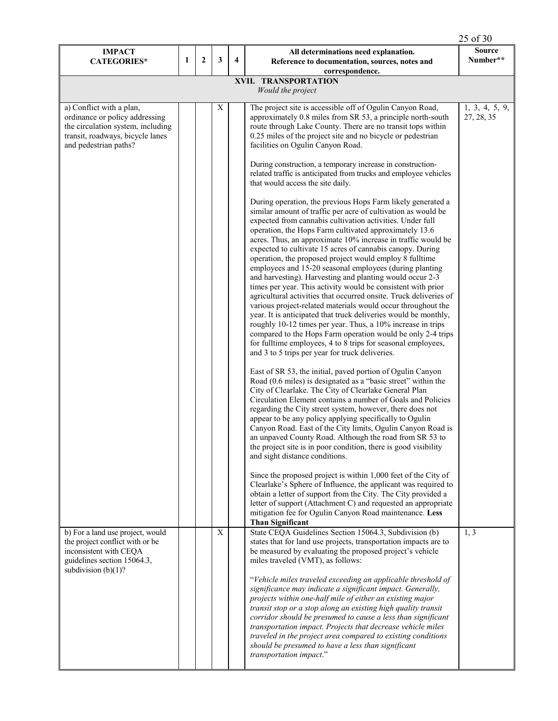|                                                                                                                                                              |   |                  |             |                     |                                                                                                                                                                                                                                                                                                                                                                                                                                                                                                                                                                                                                                                                                                                                                                                                                                                                                                                                                                                                                                                                                                                                                                                                                                                                                                                                                                                                                                                                                                                                                                                                                                                                                                                                                                                                                                                                                                                                                                                                                                                                                                                                                                                                                                                                                                                                                                                                                                                                                                                                             | 25 of 30                     |  |  |  |
|--------------------------------------------------------------------------------------------------------------------------------------------------------------|---|------------------|-------------|---------------------|---------------------------------------------------------------------------------------------------------------------------------------------------------------------------------------------------------------------------------------------------------------------------------------------------------------------------------------------------------------------------------------------------------------------------------------------------------------------------------------------------------------------------------------------------------------------------------------------------------------------------------------------------------------------------------------------------------------------------------------------------------------------------------------------------------------------------------------------------------------------------------------------------------------------------------------------------------------------------------------------------------------------------------------------------------------------------------------------------------------------------------------------------------------------------------------------------------------------------------------------------------------------------------------------------------------------------------------------------------------------------------------------------------------------------------------------------------------------------------------------------------------------------------------------------------------------------------------------------------------------------------------------------------------------------------------------------------------------------------------------------------------------------------------------------------------------------------------------------------------------------------------------------------------------------------------------------------------------------------------------------------------------------------------------------------------------------------------------------------------------------------------------------------------------------------------------------------------------------------------------------------------------------------------------------------------------------------------------------------------------------------------------------------------------------------------------------------------------------------------------------------------------------------------------|------------------------------|--|--|--|
| <b>IMPACT</b><br><b>CATEGORIES*</b>                                                                                                                          | 1 | $\boldsymbol{2}$ | 3           | $\overline{\bf{4}}$ | All determinations need explanation.<br>Reference to documentation, sources, notes and<br>correspondence.                                                                                                                                                                                                                                                                                                                                                                                                                                                                                                                                                                                                                                                                                                                                                                                                                                                                                                                                                                                                                                                                                                                                                                                                                                                                                                                                                                                                                                                                                                                                                                                                                                                                                                                                                                                                                                                                                                                                                                                                                                                                                                                                                                                                                                                                                                                                                                                                                                   | <b>Source</b><br>Number**    |  |  |  |
| XVII. TRANSPORTATION<br>Would the project                                                                                                                    |   |                  |             |                     |                                                                                                                                                                                                                                                                                                                                                                                                                                                                                                                                                                                                                                                                                                                                                                                                                                                                                                                                                                                                                                                                                                                                                                                                                                                                                                                                                                                                                                                                                                                                                                                                                                                                                                                                                                                                                                                                                                                                                                                                                                                                                                                                                                                                                                                                                                                                                                                                                                                                                                                                             |                              |  |  |  |
| a) Conflict with a plan,<br>ordinance or policy addressing<br>the circulation system, including<br>transit, roadways, bicycle lanes<br>and pedestrian paths? |   |                  | X           |                     | The project site is accessible off of Ogulin Canyon Road,<br>approximately 0.8 miles from SR 53, a principle north-south<br>route through Lake County. There are no transit tops within<br>0.25 miles of the project site and no bicycle or pedestrian<br>facilities on Ogulin Canyon Road.<br>During construction, a temporary increase in construction-<br>related traffic is anticipated from trucks and employee vehicles<br>that would access the site daily.<br>During operation, the previous Hops Farm likely generated a<br>similar amount of traffic per acre of cultivation as would be<br>expected from cannabis cultivation activities. Under full<br>operation, the Hops Farm cultivated approximately 13.6<br>acres. Thus, an approximate 10% increase in traffic would be<br>expected to cultivate 15 acres of cannabis canopy. During<br>operation, the proposed project would employ 8 fulltime<br>employees and 15-20 seasonal employees (during planting<br>and harvesting). Harvesting and planting would occur 2-3<br>times per year. This activity would be consistent with prior<br>agricultural activities that occurred onsite. Truck deliveries of<br>various project-related materials would occur throughout the<br>year. It is anticipated that truck deliveries would be monthly,<br>roughly 10-12 times per year. Thus, a 10% increase in trips<br>compared to the Hops Farm operation would be only 2-4 trips<br>for fulltime employees, 4 to 8 trips for seasonal employees,<br>and 3 to 5 trips per year for truck deliveries.<br>East of SR 53, the initial, paved portion of Ogulin Canyon<br>Road (0.6 miles) is designated as a "basic street" within the<br>City of Clearlake. The City of Clearlake General Plan<br>Circulation Element contains a number of Goals and Policies<br>regarding the City street system, however, there does not<br>appear to be any policy applying specifically to Ogulin<br>Canyon Road. East of the City limits, Ogulin Canyon Road is<br>an unpaved County Road. Although the road from SR 53 to<br>the project site is in poor condition, there is good visibility<br>and sight distance conditions.<br>Since the proposed project is within 1,000 feet of the City of<br>Clearlake's Sphere of Influence, the applicant was required to<br>obtain a letter of support from the City. The City provided a<br>letter of support (Attachment C) and requested an appropriate<br>mitigation fee for Ogulin Canyon Road maintenance. Less<br><b>Than Significant</b> | 1, 3, 4, 5, 9,<br>27, 28, 35 |  |  |  |
| b) For a land use project, would<br>the project conflict with or be<br>inconsistent with CEQA<br>guidelines section 15064.3,<br>subdivision $(b)(1)$ ?       |   |                  | $\mathbf X$ |                     | State CEQA Guidelines Section 15064.3, Subdivision (b)<br>states that for land use projects, transportation impacts are to<br>be measured by evaluating the proposed project's vehicle<br>miles traveled (VMT), as follows:<br>"Vehicle miles traveled exceeding an applicable threshold of<br>significance may indicate a significant impact. Generally,<br>projects within one-half mile of either an existing major<br>transit stop or a stop along an existing high quality transit<br>corridor should be presumed to cause a less than significant                                                                                                                                                                                                                                                                                                                                                                                                                                                                                                                                                                                                                                                                                                                                                                                                                                                                                                                                                                                                                                                                                                                                                                                                                                                                                                                                                                                                                                                                                                                                                                                                                                                                                                                                                                                                                                                                                                                                                                                     | 1, 3                         |  |  |  |
|                                                                                                                                                              |   |                  |             |                     | transportation impact. Projects that decrease vehicle miles<br>traveled in the project area compared to existing conditions<br>should be presumed to have a less than significant<br>transportation impact."                                                                                                                                                                                                                                                                                                                                                                                                                                                                                                                                                                                                                                                                                                                                                                                                                                                                                                                                                                                                                                                                                                                                                                                                                                                                                                                                                                                                                                                                                                                                                                                                                                                                                                                                                                                                                                                                                                                                                                                                                                                                                                                                                                                                                                                                                                                                |                              |  |  |  |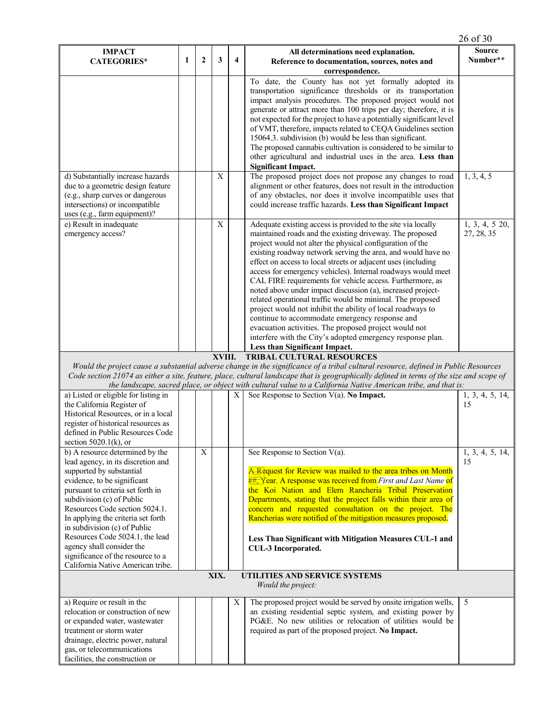| n | Ωt |  |
|---|----|--|

|                                                                                                                                                                                                                                                                                                                                                                                                                                                      |   |                |             |                     |                                                                                                                                                                                                                                                                                                                                                                                                                                                                                                                                                                                                                                                                                                                                                                                                                                                          | 26 of 30                      |  |  |
|------------------------------------------------------------------------------------------------------------------------------------------------------------------------------------------------------------------------------------------------------------------------------------------------------------------------------------------------------------------------------------------------------------------------------------------------------|---|----------------|-------------|---------------------|----------------------------------------------------------------------------------------------------------------------------------------------------------------------------------------------------------------------------------------------------------------------------------------------------------------------------------------------------------------------------------------------------------------------------------------------------------------------------------------------------------------------------------------------------------------------------------------------------------------------------------------------------------------------------------------------------------------------------------------------------------------------------------------------------------------------------------------------------------|-------------------------------|--|--|
| <b>IMPACT</b><br><b>CATEGORIES*</b>                                                                                                                                                                                                                                                                                                                                                                                                                  | 1 | $\overline{2}$ | 3           | $\overline{\bf{4}}$ | All determinations need explanation.<br>Reference to documentation, sources, notes and<br>correspondence.                                                                                                                                                                                                                                                                                                                                                                                                                                                                                                                                                                                                                                                                                                                                                | <b>Source</b><br>Number**     |  |  |
|                                                                                                                                                                                                                                                                                                                                                                                                                                                      |   |                |             |                     | To date, the County has not yet formally adopted its<br>transportation significance thresholds or its transportation<br>impact analysis procedures. The proposed project would not<br>generate or attract more than 100 trips per day; therefore, it is<br>not expected for the project to have a potentially significant level<br>of VMT, therefore, impacts related to CEQA Guidelines section<br>15064.3. subdivision (b) would be less than significant.<br>The proposed cannabis cultivation is considered to be similar to<br>other agricultural and industrial uses in the area. Less than<br><b>Significant Impact.</b>                                                                                                                                                                                                                          |                               |  |  |
| d) Substantially increase hazards<br>due to a geometric design feature<br>(e.g., sharp curves or dangerous<br>intersections) or incompatible<br>uses (e.g., farm equipment)?                                                                                                                                                                                                                                                                         |   |                | $\mathbf X$ |                     | The proposed project does not propose any changes to road<br>alignment or other features, does not result in the introduction<br>of any obstacles, nor does it involve incompatible uses that<br>could increase traffic hazards. Less than Significant Impact                                                                                                                                                                                                                                                                                                                                                                                                                                                                                                                                                                                            | 1, 3, 4, 5                    |  |  |
| e) Result in inadequate<br>emergency access?                                                                                                                                                                                                                                                                                                                                                                                                         |   |                | $\mathbf X$ |                     | Adequate existing access is provided to the site via locally<br>maintained roads and the existing driveway. The proposed<br>project would not alter the physical configuration of the<br>existing roadway network serving the area, and would have no<br>effect on access to local streets or adjacent uses (including<br>access for emergency vehicles). Internal roadways would meet<br>CAL FIRE requirements for vehicle access. Furthermore, as<br>noted above under impact discussion (a), increased project-<br>related operational traffic would be minimal. The proposed<br>project would not inhibit the ability of local roadways to<br>continue to accommodate emergency response and<br>evacuation activities. The proposed project would not<br>interfere with the City's adopted emergency response plan.<br>Less than Significant Impact. | 1, 3, 4, 5, 20,<br>27, 28, 35 |  |  |
|                                                                                                                                                                                                                                                                                                                                                                                                                                                      |   |                | XVIII.      |                     | <b>TRIBAL CULTURAL RESOURCES</b>                                                                                                                                                                                                                                                                                                                                                                                                                                                                                                                                                                                                                                                                                                                                                                                                                         |                               |  |  |
|                                                                                                                                                                                                                                                                                                                                                                                                                                                      |   |                |             |                     | Would the project cause a substantial adverse change in the significance of a tribal cultural resource, defined in Public Resources<br>Code section 21074 as either a site, feature, place, cultural landscape that is geographically defined in terms of the size and scope of                                                                                                                                                                                                                                                                                                                                                                                                                                                                                                                                                                          |                               |  |  |
|                                                                                                                                                                                                                                                                                                                                                                                                                                                      |   |                |             |                     | the landscape, sacred place, or object with cultural value to a California Native American tribe, and that is:                                                                                                                                                                                                                                                                                                                                                                                                                                                                                                                                                                                                                                                                                                                                           |                               |  |  |
| a) Listed or eligible for listing in<br>the California Register of<br>Historical Resources, or in a local<br>register of historical resources as<br>defined in Public Resources Code<br>section $5020.1(k)$ , or                                                                                                                                                                                                                                     |   |                |             | X                   | See Response to Section $V(a)$ . No Impact.                                                                                                                                                                                                                                                                                                                                                                                                                                                                                                                                                                                                                                                                                                                                                                                                              | 1, 3, 4, 5, 14,<br>15         |  |  |
| b) A resource determined by the<br>lead agency, in its discretion and<br>supported by substantial<br>evidence, to be significant<br>pursuant to criteria set forth in<br>subdivision (c) of Public<br>Resources Code section 5024.1.<br>In applying the criteria set forth<br>in subdivision (c) of Public<br>Resources Code 5024.1, the lead<br>agency shall consider the<br>significance of the resource to a<br>California Native American tribe. |   | X              |             |                     | See Response to Section V(a).<br><b>A Request for Review was mailed to the area tribes on Month</b><br>$\overline{\text{WW}}$ Year. A response was received from First and Last Name of<br>the Koi Nation and Elem Rancheria Tribal Preservation<br>Departments, stating that the project falls within their area of<br>concern and requested consultation on the project. The<br>Rancherias were notified of the mitigation measures proposed.<br>Less Than Significant with Mitigation Measures CUL-1 and<br>CUL-3 Incorporated.                                                                                                                                                                                                                                                                                                                       | 1, 3, 4, 5, 14,<br>15         |  |  |
| XIX.<br>UTILITIES AND SERVICE SYSTEMS<br>Would the project:                                                                                                                                                                                                                                                                                                                                                                                          |   |                |             |                     |                                                                                                                                                                                                                                                                                                                                                                                                                                                                                                                                                                                                                                                                                                                                                                                                                                                          |                               |  |  |
| a) Require or result in the<br>relocation or construction of new<br>or expanded water, wastewater<br>treatment or storm water<br>drainage, electric power, natural<br>gas, or telecommunications<br>facilities, the construction or                                                                                                                                                                                                                  |   |                |             | X                   | The proposed project would be served by onsite irrigation wells,<br>an existing residential septic system, and existing power by<br>PG&E. No new utilities or relocation of utilities would be<br>required as part of the proposed project. No Impact.                                                                                                                                                                                                                                                                                                                                                                                                                                                                                                                                                                                                   | 5                             |  |  |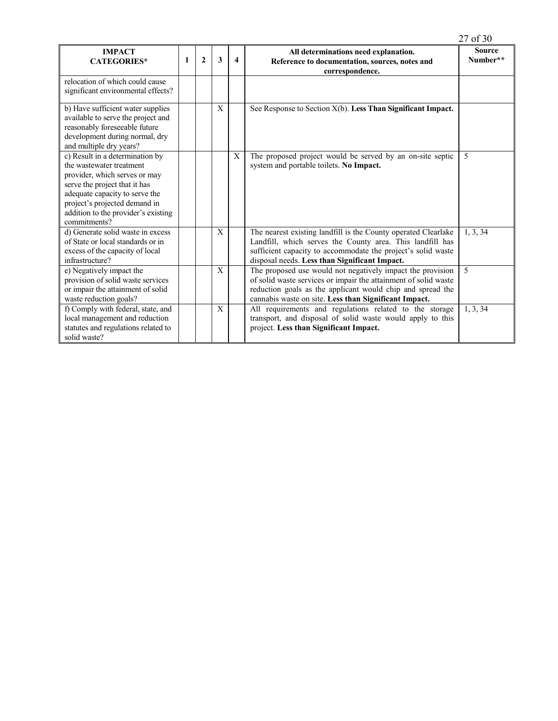| <b>IMPACT</b><br><b>CATEGORIES*</b>                                                                                                                                                                                                                     | 1 | $\mathbf{2}$ | 3            | 4 | All determinations need explanation.<br>Reference to documentation, sources, notes and<br>correspondence.                                                                                                                                            | <b>Source</b><br>Number** |
|---------------------------------------------------------------------------------------------------------------------------------------------------------------------------------------------------------------------------------------------------------|---|--------------|--------------|---|------------------------------------------------------------------------------------------------------------------------------------------------------------------------------------------------------------------------------------------------------|---------------------------|
| relocation of which could cause<br>significant environmental effects?                                                                                                                                                                                   |   |              |              |   |                                                                                                                                                                                                                                                      |                           |
| b) Have sufficient water supplies<br>available to serve the project and<br>reasonably foreseeable future<br>development during normal, dry<br>and multiple dry years?                                                                                   |   |              | $\mathbf{X}$ |   | See Response to Section X(b). Less Than Significant Impact.                                                                                                                                                                                          |                           |
| c) Result in a determination by<br>the wastewater treatment<br>provider, which serves or may<br>serve the project that it has<br>adequate capacity to serve the<br>project's projected demand in<br>addition to the provider's existing<br>commitments? |   |              |              | X | The proposed project would be served by an on-site septic<br>system and portable toilets. No Impact.                                                                                                                                                 | 5                         |
| d) Generate solid waste in excess<br>of State or local standards or in<br>excess of the capacity of local<br>infrastructure?                                                                                                                            |   |              | X            |   | The nearest existing landfill is the County operated Clearlake<br>Landfill, which serves the County area. This landfill has<br>sufficient capacity to accommodate the project's solid waste<br>disposal needs. Less than Significant Impact.         | 1, 3, 34                  |
| e) Negatively impact the<br>provision of solid waste services<br>or impair the attainment of solid<br>waste reduction goals?                                                                                                                            |   |              | X            |   | The proposed use would not negatively impact the provision<br>of solid waste services or impair the attainment of solid waste<br>reduction goals as the applicant would chip and spread the<br>cannabis waste on site. Less than Significant Impact. | $\overline{\mathbf{5}}$   |
| f) Comply with federal, state, and<br>local management and reduction<br>statutes and regulations related to<br>solid waste?                                                                                                                             |   |              | $\mathbf{X}$ |   | All requirements and regulations related to the storage<br>transport, and disposal of solid waste would apply to this<br>project. Less than Significant Impact.                                                                                      | 1.3.34                    |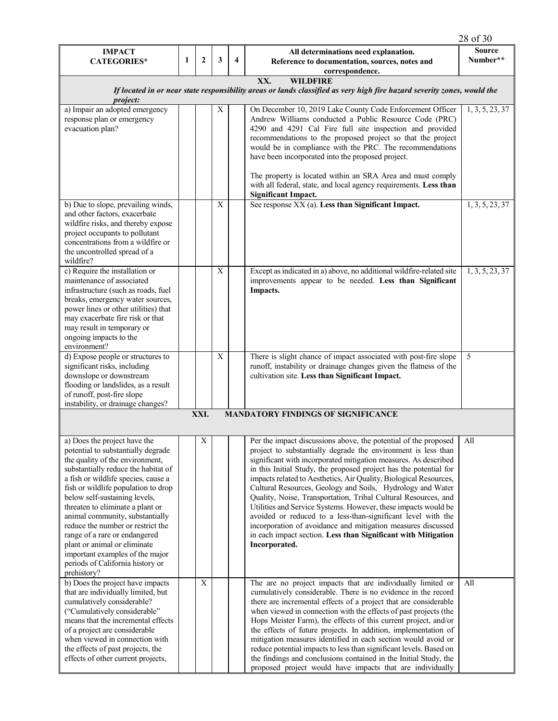|                                                                                                                                                                                                                                                                                                                                                                                                                                                                                                                                | 28 of 30 |             |             |   |                                                                                                                                                                                                                                                                                                                                                                                                                                                                                                                                                                                                                                                                                                                                                                   |                           |  |  |
|--------------------------------------------------------------------------------------------------------------------------------------------------------------------------------------------------------------------------------------------------------------------------------------------------------------------------------------------------------------------------------------------------------------------------------------------------------------------------------------------------------------------------------|----------|-------------|-------------|---|-------------------------------------------------------------------------------------------------------------------------------------------------------------------------------------------------------------------------------------------------------------------------------------------------------------------------------------------------------------------------------------------------------------------------------------------------------------------------------------------------------------------------------------------------------------------------------------------------------------------------------------------------------------------------------------------------------------------------------------------------------------------|---------------------------|--|--|
| <b>IMPACT</b><br><b>CATEGORIES*</b>                                                                                                                                                                                                                                                                                                                                                                                                                                                                                            | 1        | 2           | 3           | 4 | All determinations need explanation.<br>Reference to documentation, sources, notes and<br>correspondence.                                                                                                                                                                                                                                                                                                                                                                                                                                                                                                                                                                                                                                                         | <b>Source</b><br>Number** |  |  |
|                                                                                                                                                                                                                                                                                                                                                                                                                                                                                                                                |          |             |             |   | XX.<br><b>WILDFIRE</b>                                                                                                                                                                                                                                                                                                                                                                                                                                                                                                                                                                                                                                                                                                                                            |                           |  |  |
| If located in or near state responsibility areas or lands classified as very high fire hazard severity zones, would the<br><i>project:</i>                                                                                                                                                                                                                                                                                                                                                                                     |          |             |             |   |                                                                                                                                                                                                                                                                                                                                                                                                                                                                                                                                                                                                                                                                                                                                                                   |                           |  |  |
| a) Impair an adopted emergency<br>response plan or emergency<br>evacuation plan?                                                                                                                                                                                                                                                                                                                                                                                                                                               |          |             | $\mathbf X$ |   | On December 10, 2019 Lake County Code Enforcement Officer<br>Andrew Williams conducted a Public Resource Code (PRC)<br>4290 and 4291 Cal Fire full site inspection and provided<br>recommendations to the proposed project so that the project<br>would be in compliance with the PRC. The recommendations<br>have been incorporated into the proposed project.<br>The property is located within an SRA Area and must comply<br>with all federal, state, and local agency requirements. Less than                                                                                                                                                                                                                                                                | 1, 3, 5, 23, 37           |  |  |
|                                                                                                                                                                                                                                                                                                                                                                                                                                                                                                                                |          |             |             |   | <b>Significant Impact.</b>                                                                                                                                                                                                                                                                                                                                                                                                                                                                                                                                                                                                                                                                                                                                        |                           |  |  |
| b) Due to slope, prevailing winds,<br>and other factors, exacerbate<br>wildfire risks, and thereby expose<br>project occupants to pollutant<br>concentrations from a wildfire or<br>the uncontrolled spread of a<br>wildfire?                                                                                                                                                                                                                                                                                                  |          |             | X           |   | See response XX (a). Less than Significant Impact.                                                                                                                                                                                                                                                                                                                                                                                                                                                                                                                                                                                                                                                                                                                | 1, 3, 5, 23, 37           |  |  |
| c) Require the installation or<br>maintenance of associated<br>infrastructure (such as roads, fuel<br>breaks, emergency water sources,<br>power lines or other utilities) that<br>may exacerbate fire risk or that<br>may result in temporary or<br>ongoing impacts to the<br>environment?                                                                                                                                                                                                                                     |          |             | X           |   | Except as indicated in a) above, no additional wildfire-related site<br>improvements appear to be needed. Less than Significant<br>Impacts.                                                                                                                                                                                                                                                                                                                                                                                                                                                                                                                                                                                                                       | 1, 3, 5, 23, 37           |  |  |
| d) Expose people or structures to<br>significant risks, including<br>downslope or downstream<br>flooding or landslides, as a result<br>of runoff, post-fire slope<br>instability, or drainage changes?                                                                                                                                                                                                                                                                                                                         |          |             | $\mathbf X$ |   | There is slight chance of impact associated with post-fire slope<br>runoff, instability or drainage changes given the flatness of the<br>cultivation site. Less than Significant Impact.                                                                                                                                                                                                                                                                                                                                                                                                                                                                                                                                                                          | 5                         |  |  |
|                                                                                                                                                                                                                                                                                                                                                                                                                                                                                                                                |          | XXI.        |             |   | <b>MANDATORY FINDINGS OF SIGNIFICANCE</b>                                                                                                                                                                                                                                                                                                                                                                                                                                                                                                                                                                                                                                                                                                                         |                           |  |  |
|                                                                                                                                                                                                                                                                                                                                                                                                                                                                                                                                |          |             |             |   |                                                                                                                                                                                                                                                                                                                                                                                                                                                                                                                                                                                                                                                                                                                                                                   |                           |  |  |
| a) Does the project have the<br>potential to substantially degrade<br>the quality of the environment,<br>substantially reduce the habitat of<br>a fish or wildlife species, cause a<br>fish or wildlife population to drop<br>below self-sustaining levels,<br>threaten to eliminate a plant or<br>animal community, substantially<br>reduce the number or restrict the<br>range of a rare or endangered<br>plant or animal or eliminate<br>important examples of the major<br>periods of California history or<br>prehistory? |          | $\mathbf X$ |             |   | Per the impact discussions above, the potential of the proposed<br>project to substantially degrade the environment is less than<br>significant with incorporated mitigation measures. As described<br>in this Initial Study, the proposed project has the potential for<br>impacts related to Aesthetics, Air Quality, Biological Resources,<br>Cultural Resources, Geology and Soils, Hydrology and Water<br>Quality, Noise, Transportation, Tribal Cultural Resources, and<br>Utilities and Service Systems. However, these impacts would be<br>avoided or reduced to a less-than-significant level with the<br>incorporation of avoidance and mitigation measures discussed<br>in each impact section. Less than Significant with Mitigation<br>Incorporated. | All                       |  |  |
| b) Does the project have impacts<br>that are individually limited, but<br>cumulatively considerable?<br>("Cumulatively considerable"<br>means that the incremental effects<br>of a project are considerable<br>when viewed in connection with<br>the effects of past projects, the<br>effects of other current projects,                                                                                                                                                                                                       |          | X           |             |   | The are no project impacts that are individually limited or<br>cumulatively considerable. There is no evidence in the record<br>there are incremental effects of a project that are considerable<br>when viewed in connection with the effects of past projects (the<br>Hops Meister Farm), the effects of this current project, and/or<br>the effects of future projects. In addition, implementation of<br>mitigation measures identified in each section would avoid or<br>reduce potential impacts to less than significant levels. Based on<br>the findings and conclusions contained in the Initial Study, the<br>proposed project would have impacts that are individually                                                                                 | All                       |  |  |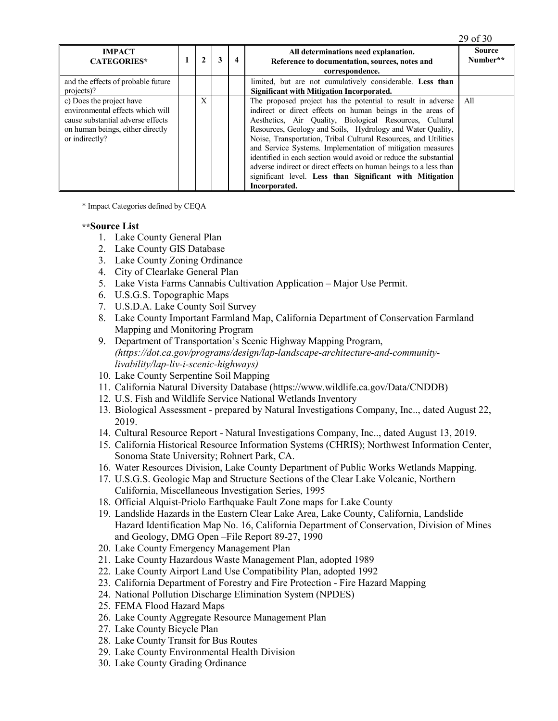29 of 30

| <b>IMPACT</b><br><b>CATEGORIES*</b>                                                                                                                     | 2 | 3 | 4 | All determinations need explanation.<br>Reference to documentation, sources, notes and<br>correspondence.                                                                                                                                                                                                                                                                                                                                                                                                                                                                                                 | Source<br>Number** |
|---------------------------------------------------------------------------------------------------------------------------------------------------------|---|---|---|-----------------------------------------------------------------------------------------------------------------------------------------------------------------------------------------------------------------------------------------------------------------------------------------------------------------------------------------------------------------------------------------------------------------------------------------------------------------------------------------------------------------------------------------------------------------------------------------------------------|--------------------|
| and the effects of probable future<br>projects)?                                                                                                        |   |   |   | limited, but are not cumulatively considerable. Less than<br><b>Significant with Mitigation Incorporated.</b>                                                                                                                                                                                                                                                                                                                                                                                                                                                                                             |                    |
| c) Does the project have<br>environmental effects which will<br>cause substantial adverse effects<br>on human beings, either directly<br>or indirectly? | X |   |   | The proposed project has the potential to result in adverse<br>indirect or direct effects on human beings in the areas of<br>Aesthetics, Air Quality, Biological Resources, Cultural<br>Resources, Geology and Soils, Hydrology and Water Quality,<br>Noise, Transportation, Tribal Cultural Resources, and Utilities<br>and Service Systems. Implementation of mitigation measures<br>identified in each section would avoid or reduce the substantial<br>adverse indirect or direct effects on human beings to a less than<br>significant level. Less than Significant with Mitigation<br>Incorporated. | All                |

\* Impact Categories defined by CEQA

#### **\*\*Source List**

- 1. Lake County General Plan
- 2. Lake County GIS Database
- 3. Lake County Zoning Ordinance
- 4. City of Clearlake General Plan
- 5. Lake Vista Farms Cannabis Cultivation Application Major Use Permit.
- 6. U.S.G.S. Topographic Maps
- 7. U.S.D.A. Lake County Soil Survey
- 8. Lake County Important Farmland Map, California Department of Conservation Farmland Mapping and Monitoring Program
- 9. Department of Transportation's Scenic Highway Mapping Program, *(https://dot.ca.gov/programs/design/lap-landscape-architecture-and-communitylivability/lap-liv-i-scenic-highways)*
- 10. Lake County Serpentine Soil Mapping
- 11. California Natural Diversity Database [\(https://www.wildlife.ca.gov/Data/CNDDB\)](https://www.wildlife.ca.gov/Data/CNDDB)
- 12. U.S. Fish and Wildlife Service National Wetlands Inventory
- 13. Biological Assessment prepared by Natural Investigations Company, Inc.., dated August 22, 2019.
- 14. Cultural Resource Report Natural Investigations Company, Inc.., dated August 13, 2019.
- 15. California Historical Resource Information Systems (CHRIS); Northwest Information Center, Sonoma State University; Rohnert Park, CA.
- 16. Water Resources Division, Lake County Department of Public Works Wetlands Mapping.
- 17. U.S.G.S. Geologic Map and Structure Sections of the Clear Lake Volcanic, Northern California, Miscellaneous Investigation Series, 1995
- 18. Official Alquist-Priolo Earthquake Fault Zone maps for Lake County
- 19. Landslide Hazards in the Eastern Clear Lake Area, Lake County, California, Landslide Hazard Identification Map No. 16, California Department of Conservation, Division of Mines and Geology, DMG Open –File Report 89-27, 1990
- 20. Lake County Emergency Management Plan
- 21. Lake County Hazardous Waste Management Plan, adopted 1989
- 22. Lake County Airport Land Use Compatibility Plan, adopted 1992
- 23. California Department of Forestry and Fire Protection Fire Hazard Mapping
- 24. National Pollution Discharge Elimination System (NPDES)
- 25. FEMA Flood Hazard Maps
- 26. Lake County Aggregate Resource Management Plan
- 27. Lake County Bicycle Plan
- 28. Lake County Transit for Bus Routes
- 29. Lake County Environmental Health Division
- 30. Lake County Grading Ordinance